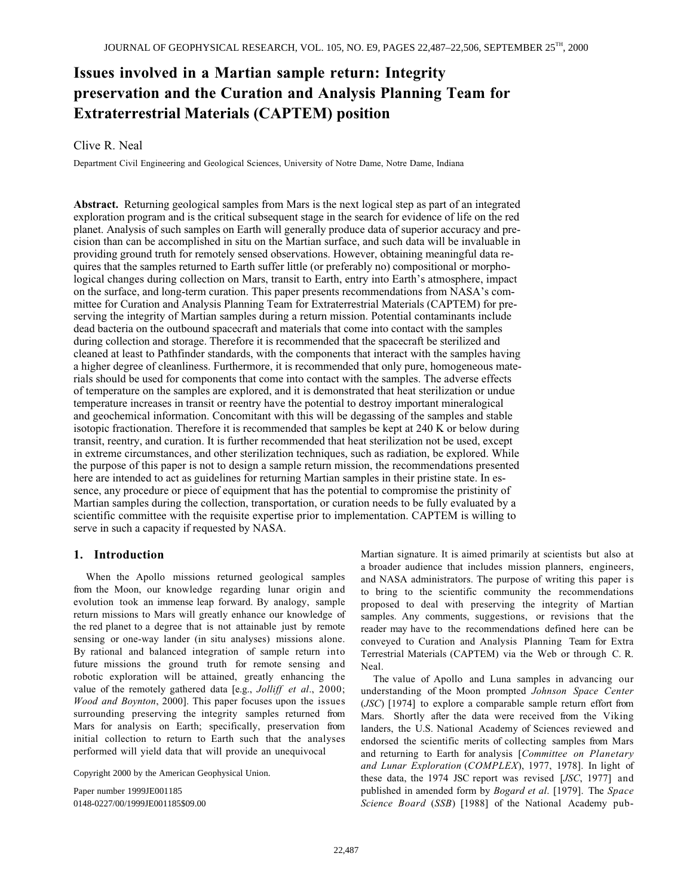# **Issues involved in a Martian sample return: Integrity preservation and the Curation and Analysis Planning Team for Extraterrestrial Materials (CAPTEM) position.**

# Clive R. Neal

Department Civil Engineering and Geological Sciences, University of Notre Dame, Notre Dame, Indiana

**Abstract.** Returning geological samples from Mars is the next logical step as part of an integrated exploration program and is the critical subsequent stage in the search for evidence of life on the red planet. Analysis of such samples on Earth will generally produce data of superior accuracy and precision than can be accomplished in situ on the Martian surface, and such data will be invaluable in providing ground truth for remotely sensed observations. However, obtaining meaningful data requires that the samples returned to Earth suffer little (or preferably no) compositional or morphological changes during collection on Mars, transit to Earth, entry into Earth's atmosphere, impact on the surface, and long-term curation. This paper presents recommendations from NASA's committee for Curation and Analysis Planning Team for Extraterrestrial Materials (CAPTEM) for preserving the integrity of Martian samples during a return mission. Potential contaminants include dead bacteria on the outbound spacecraft and materials that come into contact with the samples during collection and storage. Therefore it is recommended that the spacecraft be sterilized and cleaned at least to Pathfinder standards, with the components that interact with the samples having a higher degree of cleanliness. Furthermore, it is recommended that only pure, homogeneous materials should be used for components that come into contact with the samples. The adverse effects of temperature on the samples are explored, and it is demonstrated that heat sterilization or undue temperature increases in transit or reentry have the potential to destroy important mineralogical and geochemical information. Concomitant with this will be degassing of the samples and stable isotopic fractionation. Therefore it is recommended that samples be kept at 240 K or below during transit, reentry, and curation. It is further recommended that heat sterilization not be used, except in extreme circumstances, and other sterilization techniques, such as radiation, be explored. While the purpose of this paper is not to design a sample return mission, the recommendations presented here are intended to act as guidelines for returning Martian samples in their pristine state. In essence, any procedure or piece of equipment that has the potential to compromise the pristinity of Martian samples during the collection, transportation, or curation needs to be fully evaluated by a scientific committee with the requisite expertise prior to implementation. CAPTEM is willing to serve in such a capacity if requested by NASA.

# **1. Introduction**

When the Apollo missions returned geological samples from the Moon, our knowledge regarding lunar origin and evolution took an immense leap forward. By analogy, sample return missions to Mars will greatly enhance our knowledge of the red planet to a degree that is not attainable just by remote sensing or one-way lander (in situ analyses) missions alone. By rational and balanced integration of sample return into future missions the ground truth for remote sensing and robotic exploration will be attained, greatly enhancing the value of the remotely gathered data [e.g., *Jolliff et al*., 2000; *Wood and Boynton*, 2000]. This paper focuses upon the issues surrounding preserving the integrity samples returned from Mars for analysis on Earth; specifically, preservation from initial collection to return to Earth such that the analyses performed will yield data that will provide an unequivocal

Copyright 2000 by the American Geophysical Union.

Paper number 1999JE001185 0148-0227/00/1999JE001185\$09.00 Martian signature. It is aimed primarily at scientists but also at a broader audience that includes mission planners, engineers, and NASA administrators. The purpose of writing this paper is to bring to the scientific community the recommendations proposed to deal with preserving the integrity of Martian samples. Any comments, suggestions, or revisions that the reader may have to the recommendations defined here can be conveyed to Curation and Analysis Planning Team for Extra Terrestrial Materials (CAPTEM) via the Web or through C. R. Neal.

The value of Apollo and Luna samples in advancing our understanding of the Moon prompted *Johnson Space Center* (*JSC*) [1974] to explore a comparable sample return effort from Mars. Shortly after the data were received from the Viking landers, the U.S. National Academy of Sciences reviewed and endorsed the scientific merits of collecting samples from Mars and returning to Earth for analysis [*Committee on Planetary and Lunar Exploration* (*COMPLEX*), 1977, 1978]. In light of these data, the 1974 JSC report was revised [*JSC*, 1977] and published in amended form by *Bogard et al*. [1979]. The *Space Science Board* (*SSB*) [1988] of the National Academy pub-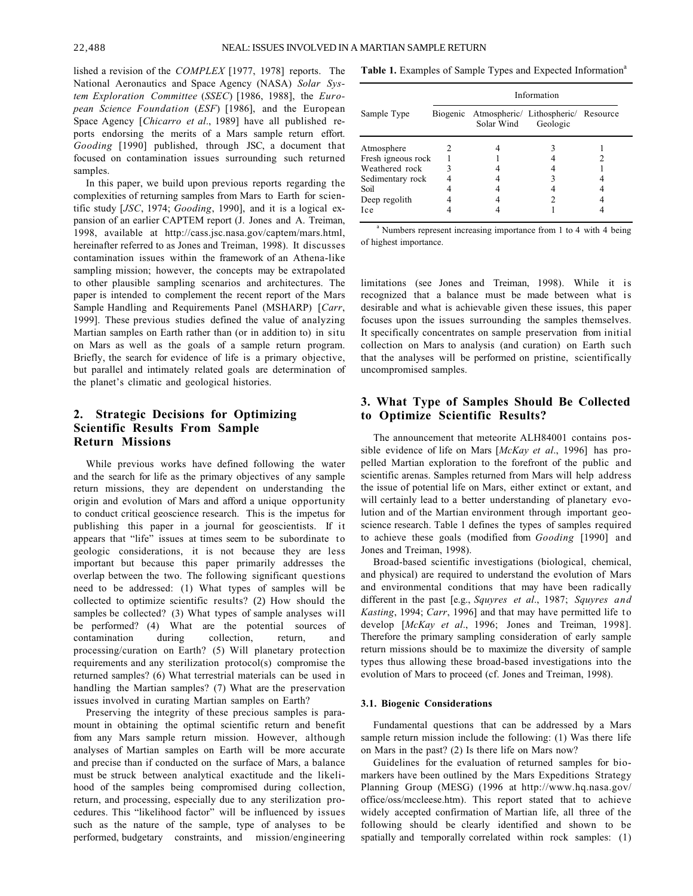lished a revision of the *COMPLEX* [1977, 1978] reports. The National Aeronautics and Space Agency (NASA) *Solar System Exploration Committee* (*SSEC*) [1986, 1988], the *European Science Foundation* (*ESF*) [1986], and the European Space Agency [*Chicarro et al*., 1989] have all published reports endorsing the merits of a Mars sample return effort. *Gooding* [1990] published, through JSC, a document that focused on contamination issues surrounding such returned samples.

In this paper, we build upon previous reports regarding the complexities of returning samples from Mars to Earth for scientific study [*JSC*, 1974; *Gooding*, 1990], and it is a logical expansion of an earlier CAPTEM report (J. Jones and A. Treiman, 1998, available at http://cass.jsc.nasa.gov/captem/mars.html, hereinafter referred to as Jones and Treiman, 1998). It discusses contamination issues within the framework of an Athena-like sampling mission; however, the concepts may be extrapolated to other plausible sampling scenarios and architectures. The paper is intended to complement the recent report of the Mars Sample Handling and Requirements Panel (MSHARP) [*Carr*, 1999]. These previous studies defined the value of analyzing Martian samples on Earth rather than (or in addition to) in situ on Mars as well as the goals of a sample return program. Briefly, the search for evidence of life is a primary objective, but parallel and intimately related goals are determination of the planet's climatic and geological histories.

# **2. Strategic Decisions for Optimizing Scientific Results From Sample Return Missions**

While previous works have defined following the water and the search for life as the primary objectives of any sample return missions, they are dependent on understanding the origin and evolution of Mars and afford a unique opportunity to conduct critical geoscience research. This is the impetus for publishing this paper in a journal for geoscientists. If it appears that "life" issues at times seem to be subordinate to geologic considerations, it is not because they are less important but because this paper primarily addresses the overlap between the two. The following significant questions need to be addressed: (1) What types of samples will be collected to optimize scientific results? (2) How should the samples be collected? (3) What types of sample analyses will be performed? (4) What are the potential sources of contamination during collection, return, and processing/curation on Earth? (5) Will planetary protection requirements and any sterilization protocol(s) compromise the returned samples? (6) What terrestrial materials can be used in handling the Martian samples? (7) What are the preservation issues involved in curating Martian samples on Earth?

Preserving the integrity of these precious samples is paramount in obtaining the optimal scientific return and benefit from any Mars sample return mission. However, although analyses of Martian samples on Earth will be more accurate and precise than if conducted on the surface of Mars, a balance must be struck between analytical exactitude and the likelihood of the samples being compromised during collection, return, and processing, especially due to any sterilization procedures. This "likelihood factor" will be influenced by issues such as the nature of the sample, type of analyses to be performed, budgetary constraints, and mission/engineering Table 1. Examples of Sample Types and Expected Information<sup>a</sup>

|                    | Information |                                                            |          |  |
|--------------------|-------------|------------------------------------------------------------|----------|--|
| Sample Type        |             | Biogenic Atmospheric/ Lithospheric/ Resource<br>Solar Wind | Geologic |  |
| Atmosphere         |             |                                                            |          |  |
| Fresh igneous rock |             |                                                            |          |  |
| Weathered rock     | ٩           |                                                            |          |  |
| Sedimentary rock   |             |                                                            |          |  |
| Soil               |             |                                                            |          |  |
| Deep regolith      |             |                                                            |          |  |
| Ice                |             |                                                            |          |  |

<sup>a</sup> Numbers represent increasing importance from 1 to 4 with 4 being of highest importance.

limitations (see Jones and Treiman, 1998). While it is recognized that a balance must be made between what is desirable and what is achievable given these issues, this paper focuses upon the issues surrounding the samples themselves. It specifically concentrates on sample preservation from initial collection on Mars to analysis (and curation) on Earth such that the analyses will be performed on pristine, scientifically uncompromised samples.

# **3. What Type of Samples Should Be Collected to Optimize Scientific Results?**

The announcement that meteorite ALH84001 contains possible evidence of life on Mars [*McKay et al*., 1996] has propelled Martian exploration to the forefront of the public and scientific arenas. Samples returned from Mars will help address the issue of potential life on Mars, either extinct or extant, and will certainly lead to a better understanding of planetary evolution and of the Martian environment through important geoscience research. Table 1 defines the types of samples required to achieve these goals (modified from *Gooding* [1990] and Jones and Treiman, 1998).

Broad-based scientific investigations (biological, chemical, and physical) are required to understand the evolution of Mars and environmental conditions that may have been radically different in the past [e.g., *Squyres et al*., 1987; *Squyres and Kasting*, 1994; *Carr*, 1996] and that may have permitted life to develop [*McKay et al*., 1996; Jones and Treiman, 1998]. Therefore the primary sampling consideration of early sample return missions should be to maximize the diversity of sample types thus allowing these broad-based investigations into the evolution of Mars to proceed (cf. Jones and Treiman, 1998).

#### **3.1. Biogenic Considerations**

Fundamental questions that can be addressed by a Mars sample return mission include the following: (1) Was there life on Mars in the past? (2) Is there life on Mars now?

Guidelines for the evaluation of returned samples for biomarkers have been outlined by the Mars Expeditions Strategy Planning Group (MESG) (1996 at http://www.hq.nasa.gov/ office/oss/mccleese.htm). This report stated that to achieve widely accepted confirmation of Martian life, all three of the following should be clearly identified and shown to be spatially and temporally correlated within rock samples: (1)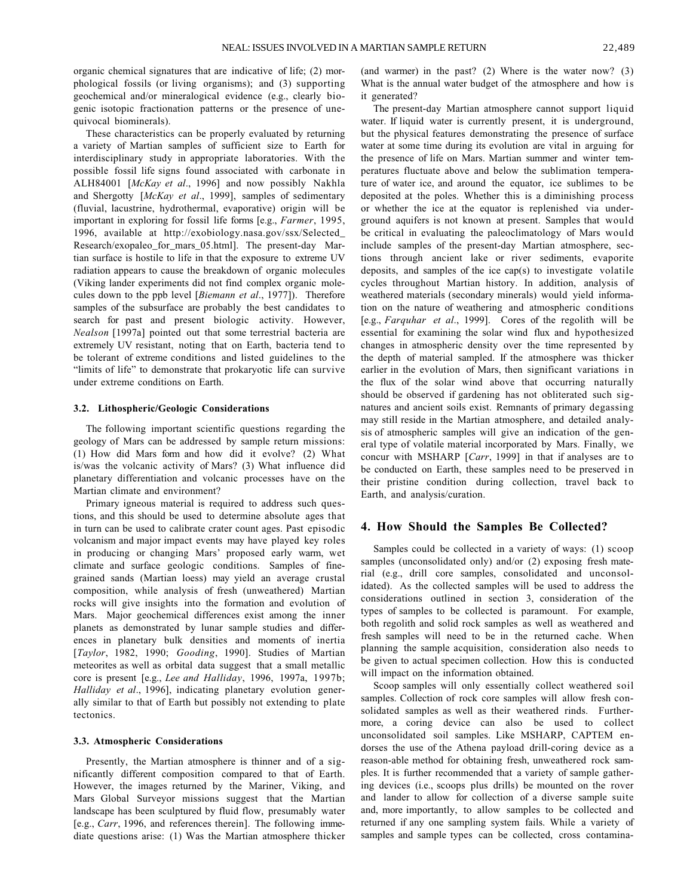organic chemical signatures that are indicative of life; (2) morphological fossils (or living organisms); and (3) supporting geochemical and/or mineralogical evidence (e.g., clearly biogenic isotopic fractionation patterns or the presence of unequivocal biominerals).

These characteristics can be properly evaluated by returning a variety of Martian samples of sufficient size to Earth for interdisciplinary study in appropriate laboratories. With the possible fossil life signs found associated with carbonate in ALH84001 [*McKay et al*., 1996] and now possibly Nakhla and Shergotty [*McKay et al*., 1999], samples of sedimentary (fluvial, lacustrine, hydrothermal, evaporative) origin will be important in exploring for fossil life forms [e.g., *Farmer*, 1995, 1996, available at http://exobiology.nasa.gov/ssx/Selected\_ Research/exopaleo\_for\_mars\_05.html]. The present-day Martian surface is hostile to life in that the exposure to extreme UV radiation appears to cause the breakdown of organic molecules (Viking lander experiments did not find complex organic molecules down to the ppb level [*Biemann et al*., 1977]). Therefore samples of the subsurface are probably the best candidates to search for past and present biologic activity. However, *Nealson* [1997a] pointed out that some terrestrial bacteria are extremely UV resistant, noting that on Earth, bacteria tend to be tolerant of extreme conditions and listed guidelines to the "limits of life" to demonstrate that prokaryotic life can survive under extreme conditions on Earth.

#### **3.2. Lithospheric/Geologic Considerations**

The following important scientific questions regarding the geology of Mars can be addressed by sample return missions: (1) How did Mars form and how did it evolve? (2) What is/was the volcanic activity of Mars? (3) What influence did planetary differentiation and volcanic processes have on the Martian climate and environment?

Primary igneous material is required to address such questions, and this should be used to determine absolute ages that in turn can be used to calibrate crater count ages. Past episodic volcanism and major impact events may have played key roles in producing or changing Mars' proposed early warm, wet climate and surface geologic conditions. Samples of finegrained sands (Martian loess) may yield an average crustal composition, while analysis of fresh (unweathered) Martian rocks will give insights into the formation and evolution of Mars. Major geochemical differences exist among the inner planets as demonstrated by lunar sample studies and differences in planetary bulk densities and moments of inertia [*Taylor*, 1982, 1990; *Gooding*, 1990]. Studies of Martian meteorites as well as orbital data suggest that a small metallic core is present [e.g., *Lee and Halliday*, 1996, 1997a, 1997b; *Halliday et al*., 1996], indicating planetary evolution generally similar to that of Earth but possibly not extending to plate tectonics.

### **3.3. Atmospheric Considerations**

Presently, the Martian atmosphere is thinner and of a significantly different composition compared to that of Earth. However, the images returned by the Mariner, Viking, and Mars Global Surveyor missions suggest that the Martian landscape has been sculptured by fluid flow, presumably water [e.g., *Carr*, 1996, and references therein]. The following immediate questions arise: (1) Was the Martian atmosphere thicker (and warmer) in the past? (2) Where is the water now? (3) What is the annual water budget of the atmosphere and how is it generated?

The present-day Martian atmosphere cannot support liquid water. If liquid water is currently present, it is underground, but the physical features demonstrating the presence of surface water at some time during its evolution are vital in arguing for the presence of life on Mars. Martian summer and winter temperatures fluctuate above and below the sublimation temperature of water ice, and around the equator, ice sublimes to be deposited at the poles. Whether this is a diminishing process or whether the ice at the equator is replenished via underground aquifers is not known at present. Samples that would be critical in evaluating the paleoclimatology of Mars would include samples of the present-day Martian atmosphere, sections through ancient lake or river sediments, evaporite deposits, and samples of the ice cap(s) to investigate volatile cycles throughout Martian history. In addition, analysis of weathered materials (secondary minerals) would yield information on the nature of weathering and atmospheric conditions [e.g., *Farquhar et al*., 1999]. Cores of the regolith will be essential for examining the solar wind flux and hypothesized changes in atmospheric density over the time represented by the depth of material sampled. If the atmosphere was thicker earlier in the evolution of Mars, then significant variations in the flux of the solar wind above that occurring naturally should be observed if gardening has not obliterated such signatures and ancient soils exist. Remnants of primary degassing may still reside in the Martian atmosphere, and detailed analysis of atmospheric samples will give an indication of the general type of volatile material incorporated by Mars. Finally, we concur with MSHARP [*Carr*, 1999] in that if analyses are to be conducted on Earth, these samples need to be preserved in their pristine condition during collection, travel back to Earth, and analysis/curation.

### **4. How Should the Samples Be Collected?**

Samples could be collected in a variety of ways: (1) scoop samples (unconsolidated only) and/or (2) exposing fresh material (e.g., drill core samples, consolidated and unconsolidated). As the collected samples will be used to address the considerations outlined in section 3, consideration of the types of samples to be collected is paramount. For example, both regolith and solid rock samples as well as weathered and fresh samples will need to be in the returned cache. When planning the sample acquisition, consideration also needs to be given to actual specimen collection. How this is conducted will impact on the information obtained.

Scoop samples will only essentially collect weathered soil samples. Collection of rock core samples will allow fresh consolidated samples as well as their weathered rinds. Furthermore, a coring device can also be used to collect unconsolidated soil samples. Like MSHARP, CAPTEM endorses the use of the Athena payload drill-coring device as a reason-able method for obtaining fresh, unweathered rock samples. It is further recommended that a variety of sample gathering devices (i.e., scoops plus drills) be mounted on the rover and lander to allow for collection of a diverse sample suite and, more importantly, to allow samples to be collected and returned if any one sampling system fails. While a variety of samples and sample types can be collected, cross contamina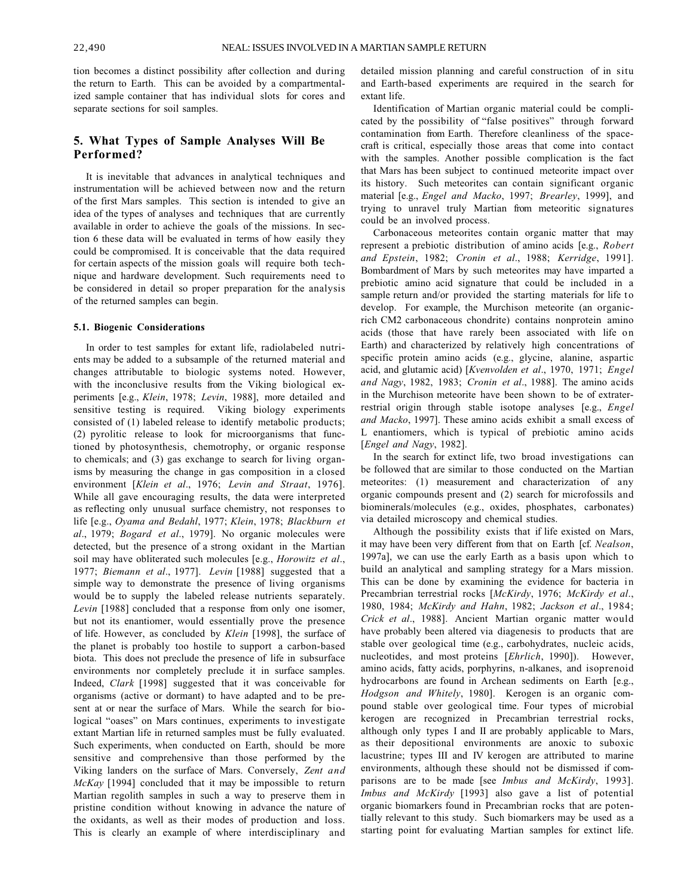tion becomes a distinct possibility after collection and during the return to Earth. This can be avoided by a compartmentalized sample container that has individual slots for cores and separate sections for soil samples.

# **5. What Types of Sample Analyses Will Be Performed?**

It is inevitable that advances in analytical techniques and instrumentation will be achieved between now and the return of the first Mars samples. This section is intended to give an idea of the types of analyses and techniques that are currently available in order to achieve the goals of the missions. In section 6 these data will be evaluated in terms of how easily they could be compromised. It is conceivable that the data required for certain aspects of the mission goals will require both technique and hardware development. Such requirements need to be considered in detail so proper preparation for the analysis of the returned samples can begin.

#### **5.1. Biogenic Considerations**

In order to test samples for extant life, radiolabeled nutrients may be added to a subsample of the returned material and changes attributable to biologic systems noted. However, with the inconclusive results from the Viking biological experiments [e.g., *Klein*, 1978; *Levin*, 1988], more detailed and sensitive testing is required. Viking biology experiments consisted of (1) labeled release to identify metabolic products; (2) pyrolitic release to look for microorganisms that functioned by photosynthesis, chemotrophy, or organic response to chemicals; and (3) gas exchange to search for living organisms by measuring the change in gas composition in a closed environment [*Klein et al*., 1976; *Levin and Straat*, 1976]. While all gave encouraging results, the data were interpreted as reflecting only unusual surface chemistry, not responses to life [e.g., *Oyama and Bedahl*, 1977; *Klein*, 1978; *Blackburn et al*., 1979; *Bogard et al*., 1979]. No organic molecules were detected, but the presence of a strong oxidant in the Martian soil may have obliterated such molecules [e.g., *Horowitz et al*., 1977; *Biemann et al*., 1977]. *Levin* [1988] suggested that a simple way to demonstrate the presence of living organisms would be to supply the labeled release nutrients separately. *Levin* [1988] concluded that a response from only one isomer, but not its enantiomer, would essentially prove the presence of life. However, as concluded by *Klein* [1998], the surface of the planet is probably too hostile to support a carbon-based biota. This does not preclude the presence of life in subsurface environments nor completely preclude it in surface samples. Indeed, *Clark* [1998] suggested that it was conceivable for organisms (active or dormant) to have adapted and to be present at or near the surface of Mars. While the search for biological "oases" on Mars continues, experiments to investigate extant Martian life in returned samples must be fully evaluated. Such experiments, when conducted on Earth, should be more sensitive and comprehensive than those performed by the Viking landers on the surface of Mars. Conversely, *Zent and McKay* [1994] concluded that it may be impossible to return Martian regolith samples in such a way to preserve them in pristine condition without knowing in advance the nature of the oxidants, as well as their modes of production and loss. This is clearly an example of where interdisciplinary and detailed mission planning and careful construction of in situ and Earth-based experiments are required in the search for extant life.

Identification of Martian organic material could be complicated by the possibility of "false positives" through forward contamination from Earth. Therefore cleanliness of the spacecraft is critical, especially those areas that come into contact with the samples. Another possible complication is the fact that Mars has been subject to continued meteorite impact over its history. Such meteorites can contain significant organic material [e.g., *Engel and Macko*, 1997; *Brearley*, 1999], and trying to unravel truly Martian from meteoritic signatures could be an involved process.

Carbonaceous meteorites contain organic matter that may represent a prebiotic distribution of amino acids [e.g., *Robert and Epstein*, 1982; *Cronin et al*., 1988; *Kerridge*, 1991]. Bombardment of Mars by such meteorites may have imparted a prebiotic amino acid signature that could be included in a sample return and/or provided the starting materials for life to develop. For example, the Murchison meteorite (an organicrich CM2 carbonaceous chondrite) contains nonprotein amino acids (those that have rarely been associated with life on Earth) and characterized by relatively high concentrations of specific protein amino acids (e.g., glycine, alanine, aspartic acid, and glutamic acid) [*Kvenvolden et al*., 1970, 1971; *Engel and Nagy*, 1982, 1983; *Cronin et al*., 1988]. The amino acids in the Murchison meteorite have been shown to be of extraterrestrial origin through stable isotope analyses [e.g., *Engel and Macko*, 1997]. These amino acids exhibit a small excess of L enantiomers, which is typical of prebiotic amino acids [*Engel and Nagy*, 1982].

In the search for extinct life, two broad investigations can be followed that are similar to those conducted on the Martian meteorites: (1) measurement and characterization of any organic compounds present and (2) search for microfossils and biominerals/molecules (e.g., oxides, phosphates, carbonates) via detailed microscopy and chemical studies.

Although the possibility exists that if life existed on Mars, it may have been very different from that on Earth [cf. *Nealson*, 1997a], we can use the early Earth as a basis upon which to build an analytical and sampling strategy for a Mars mission. This can be done by examining the evidence for bacteria in Precambrian terrestrial rocks [*McKirdy*, 1976; *McKirdy et al*., 1980, 1984; *McKirdy and Hahn*, 1982; *Jackson et al*., 1984; *Crick et al*., 1988]. Ancient Martian organic matter would have probably been altered via diagenesis to products that are stable over geological time (e.g., carbohydrates, nucleic acids, nucleotides, and most proteins [*Ehrlich*, 1990]). However, amino acids, fatty acids, porphyrins, n-alkanes, and isoprenoid hydrocarbons are found in Archean sediments on Earth [e.g., *Hodgson and Whitely*, 1980]. Kerogen is an organic compound stable over geological time. Four types of microbial kerogen are recognized in Precambrian terrestrial rocks, although only types I and II are probably applicable to Mars, as their depositional environments are anoxic to suboxic lacustrine; types III and IV kerogen are attributed to marine environments, although these should not be dismissed if comparisons are to be made [see *Imbus and McKirdy*, 1993]. *Imbus and McKirdy* [1993] also gave a list of potential organic biomarkers found in Precambrian rocks that are potentially relevant to this study. Such biomarkers may be used as a starting point for evaluating Martian samples for extinct life.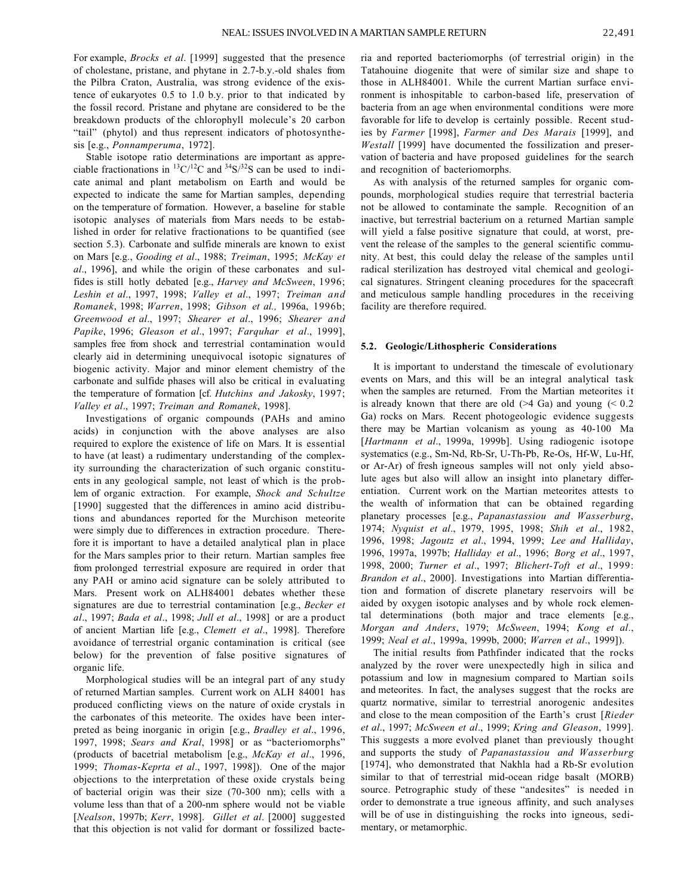For example, *Brocks et al*. [1999] suggested that the presence of cholestane, pristane, and phytane in 2.7-b.y.-old shales from the Pilbra Craton, Australia, was strong evidence of the existence of eukaryotes 0.5 to 1.0 b.y. prior to that indicated by the fossil record. Pristane and phytane are considered to be the breakdown products of the chlorophyll molecule's 20 carbon "tail" (phytol) and thus represent indicators of photosynthesis [e.g., *Ponnamperuma*, 1972].

Stable isotope ratio determinations are important as appreciable fractionations in  ${}^{13}C/{}^{12}C$  and  ${}^{34}S/{}^{32}S$  can be used to indicate animal and plant metabolism on Earth and would be expected to indicate the same for Martian samples, depending on the temperature of formation. However, a baseline for stable isotopic analyses of materials from Mars needs to be established in order for relative fractionations to be quantified (see section 5.3). Carbonate and sulfide minerals are known to exist on Mars [e.g., *Gooding et al*., 1988; *Treiman*, 1995; *McKay et al*., 1996], and while the origin of these carbonates and sulfides is still hotly debated [e.g., *Harvey and McSween*, 1996; *Leshin et al*., 1997, 1998; *Valley et al*., 1997; *Treiman and Romanek*, 1998; *Warren*, 1998; *Gibson et al.,* 1996a, 1996b; *Greenwood et al*., 1997; *Shearer et al*., 1996; *Shearer and Papike*, 1996; *Gleason et al*., 1997; *Farquhar et al*., 1999], samples free from shock and terrestrial contamination would clearly aid in determining unequivocal isotopic signatures of biogenic activity. Major and minor element chemistry of the carbonate and sulfide phases will also be critical in evaluating the temperature of formation [cf. *Hutchins and Jakosky*, 1997; *Valley et al*., 1997; *Treiman and Romanek*, 1998].

Investigations of organic compounds (PAHs and amino acids) in conjunction with the above analyses are also required to explore the existence of life on Mars. It is essential to have (at least) a rudimentary understanding of the complexity surrounding the characterization of such organic constituents in any geological sample, not least of which is the problem of organic extraction. For example, *Shock and Schultze* [1990] suggested that the differences in amino acid distributions and abundances reported for the Murchison meteorite were simply due to differences in extraction procedure. Therefore it is important to have a detailed analytical plan in place for the Mars samples prior to their return. Martian samples free from prolonged terrestrial exposure are required in order that any PAH or amino acid signature can be solely attributed to Mars. Present work on ALH84001 debates whether these signatures are due to terrestrial contamination [e.g., *Becker et al*., 1997; *Bada et al*., 1998; *Jull et al*., 1998] or are a product of ancient Martian life [e.g., *Clemett et al*., 1998]. Therefore avoidance of terrestrial organic contamination is critical (see below) for the prevention of false positive signatures of organic life.

Morphological studies will be an integral part of any study of returned Martian samples. Current work on ALH 84001 has produced conflicting views on the nature of oxide crystals in the carbonates of this meteorite. The oxides have been interpreted as being inorganic in origin [e.g., *Bradley et al*., 1996, 1997, 1998; *Sears and Kral*, 1998] or as "bacteriomorphs" (products of bacetrial metabolism [e.g., *McKay et al*., 1996, 1999; *Thomas*-*Keprta et al*., 1997, 1998]). One of the major objections to the interpretation of these oxide crystals being of bacterial origin was their size (70-300 nm); cells with a volume less than that of a 200-nm sphere would not be viable [*Nealson*, 1997b; *Kerr*, 1998]. *Gillet et al*. [2000] suggested that this objection is not valid for dormant or fossilized bacteria and reported bacteriomorphs (of terrestrial origin) in the Tatahouine diogenite that were of similar size and shape to those in ALH84001. While the current Martian surface environment is inhospitable to carbon-based life, preservation of bacteria from an age when environmental conditions were more favorable for life to develop is certainly possible. Recent studies by *Farmer* [1998], *Farmer and Des Marais* [1999], and *Westall* [1999] have documented the fossilization and preservation of bacteria and have proposed guidelines for the search and recognition of bacteriomorphs.

As with analysis of the returned samples for organic compounds, morphological studies require that terrestrial bacteria not be allowed to contaminate the sample. Recognition of an inactive, but terrestrial bacterium on a returned Martian sample will yield a false positive signature that could, at worst, prevent the release of the samples to the general scientific community. At best, this could delay the release of the samples until radical sterilization has destroyed vital chemical and geological signatures. Stringent cleaning procedures for the spacecraft and meticulous sample handling procedures in the receiving facility are therefore required.

#### **5.2. Geologic/Lithospheric Considerations**

It is important to understand the timescale of evolutionary events on Mars, and this will be an integral analytical task when the samples are returned. From the Martian meteorites it is already known that there are old  $($ >4 Ga) and young  $($  < 0.2 Ga) rocks on Mars. Recent photogeologic evidence suggests there may be Martian volcanism as young as 40-100 Ma [*Hartmann et al*., 1999a, 1999b]. Using radiogenic isotope systematics (e.g., Sm-Nd, Rb-Sr, U-Th-Pb, Re-Os, Hf-W, Lu-Hf, or Ar-Ar) of fresh igneous samples will not only yield absolute ages but also will allow an insight into planetary differentiation. Current work on the Martian meteorites attests to the wealth of information that can be obtained regarding planetary processes [e.g., *Papanastassiou and Wasserburg*, 1974; *Nyquist et al*., 1979, 1995, 1998; *Shih et al*., 1982, 1996, 1998; *Jagoutz et al*., 1994, 1999; *Lee and Halliday*, 1996, 1997a, 1997b; *Halliday et al*., 1996; *Borg et al*., 1997, 1998, 2000; *Turner et al*., 1997; *Blichert-Toft et al*., 1999: *Brandon et al*., 2000]. Investigations into Martian differentiation and formation of discrete planetary reservoirs will be aided by oxygen isotopic analyses and by whole rock elemental determinations (both major and trace elements [e.g., *Morgan and Anders*, 1979; *McSween*, 1994; *Kong et al*., 1999; *Neal et al*., 1999a, 1999b, 2000; *Warren et al*., 1999]).

The initial results from Pathfinder indicated that the rocks analyzed by the rover were unexpectedly high in silica and potassium and low in magnesium compared to Martian soils and meteorites. In fact, the analyses suggest that the rocks are quartz normative, similar to terrestrial anorogenic andesites and close to the mean composition of the Earth's crust [*Rieder et al*., 1997; *McSween et al*., 1999; *Kring and Gleason*, 1999]. This suggests a more evolved planet than previously thought and supports the study of *Papanastassiou and Wasserburg* [1974], who demonstrated that Nakhla had a Rb-Sr evolution similar to that of terrestrial mid-ocean ridge basalt (MORB) source. Petrographic study of these "andesites" is needed in order to demonstrate a true igneous affinity, and such analyses will be of use in distinguishing the rocks into igneous, sedimentary, or metamorphic.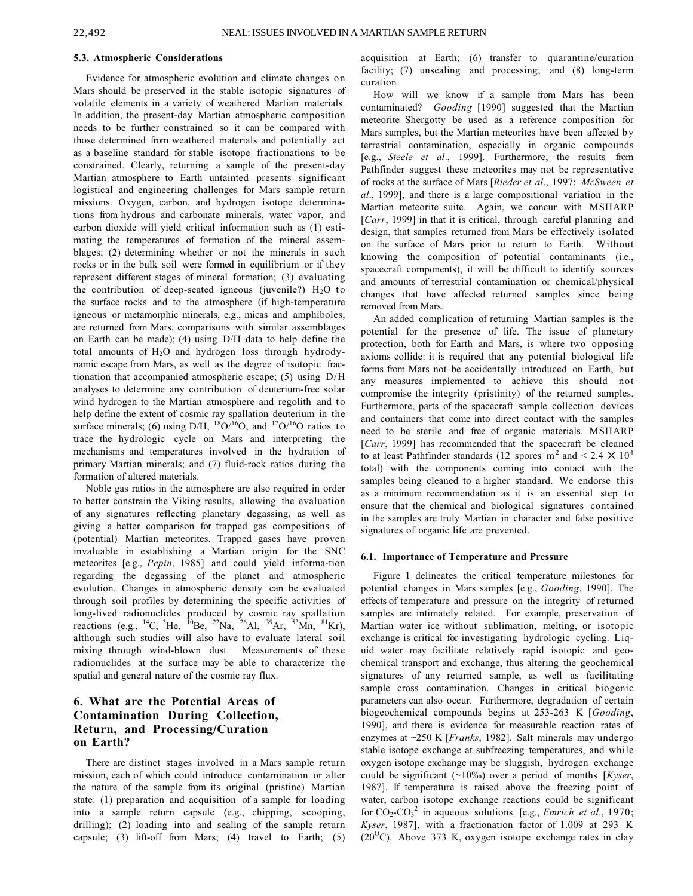#### **5.3. Atmospheric Considerations**

Evidence for atmospheric evolution and climate changes on Mars should be preserved in the stable isotopic signatures of volatile elements in a variety of weathered Martian materials. In addition, the present-day Martian atmospheric composition needs to be further constrained so it can be compared with those determined from weathered materials and potentially act as a baseline standard for stable isotope fractionations to be constrained. Clearly, returning a sample of the present-day Martian atmosphere to Earth untainted presents significant logistical and engineering challenges for Mars sample return missions. Oxygen, carbon, and hydrogen isotope determinations from hydrous and carbonate minerals, water vapor, and carbon dioxide will yield critical information such as (1) estimating the temperatures of formation of the mineral assemblages; (2) determining whether or not the minerals in such rocks or in the bulk soil were formed in equilibrium or if they represent different stages of mineral formation; (3) evaluating the contribution of deep-seated igneous (juvenile?)  $H<sub>2</sub>O$  to the surface rocks and to the atmosphere (if high-temperature igneous or metamorphic minerals, e.g., micas and amphiboles, are returned from Mars, comparisons with similar assemblages on Earth can be made); (4) using D/H data to help define the total amounts of  $H<sub>2</sub>O$  and hydrogen loss through hydrodynamic escape from Mars, as well as the degree of isotopic fractionation that accompanied atmospheric escape; (5) using D/H analyses to determine any contribution of deuterium-free solar wind hydrogen to the Martian atmosphere and regolith and to help define the extent of cosmic ray spallation deuterium in the surface minerals; (6) using D/H,  $^{18}O/^{16}O$ , and  $^{17}O/^{16}O$  ratios to trace the hydrologic cycle on Mars and interpreting the mechanisms and temperatures involved in the hydration of primary Martian minerals; and (7) fluid-rock ratios during the formation of altered materials.

Noble gas ratios in the atmosphere are also required in order to better constrain the Viking results, allowing the evaluation of any signatures reflecting planetary degassing, as well as giving a better comparison for trapped gas compositions of (potential) Martian meteorites. Trapped gases have proven invaluable in establishing a Martian origin for the SNC meteorites [e.g., *Pepin*, 1985] and could yield informa-tion regarding the degassing of the planet and atmospheric evolution. Changes in atmospheric density can be evaluated through soil profiles by determining the specific activities of long-lived radionuclides produced by cosmic ray spallation reactions (e.g., <sup>14</sup>C, <sup>3</sup>He, <sup>10</sup>Be, <sup>22</sup>Na, <sup>26</sup>Al, <sup>39</sup>Ar, <sup>53</sup>Mn, <sup>81</sup>Kr), although such studies will also have to evaluate lateral soil mixing through wind-blown dust. Measurements of these radionuclides at the surface may be able to characterize the spatial and general nature of the cosmic ray flux.

# **6. What are the Potential Areas of Contamination During Collection, Return, and Processing/Curation on Earth?**

There are distinct stages involved in a Mars sample return mission, each of which could introduce contamination or alter the nature of the sample from its original (pristine) Martian state: (1) preparation and acquisition of a sample for loading into a sample return capsule (e.g., chipping, scooping, drilling); (2) loading into and sealing of the sample return capsule; (3) lift-off from Mars; (4) travel to Earth; (5) acquisition at Earth; (6) transfer to quarantine/curation facility; (7) unsealing and processing; and (8) long-term curation.

How will we know if a sample from Mars has been contaminated? *Gooding* [1990] suggested that the Martian meteorite Shergotty be used as a reference composition for Mars samples, but the Martian meteorites have been affected by terrestrial contamination, especially in organic compounds [e.g., *Steele et al*., 1999]. Furthermore, the results from Pathfinder suggest these meteorites may not be representative of rocks at the surface of Mars [*Rieder et al*., 1997; *McSween et al*., 1999], and there is a large compositional variation in the Martian meteorite suite. Again, we concur with MSHARP [*Carr*, 1999] in that it is critical, through careful planning and design, that samples returned from Mars be effectively isolated on the surface of Mars prior to return to Earth. Without knowing the composition of potential contaminants (i.e., spacecraft components), it will be difficult to identify sources and amounts of terrestrial contamination or chemical/physical changes that have affected returned samples since being removed from Mars.

An added complication of returning Martian samples is the potential for the presence of life. The issue of planetary protection, both for Earth and Mars, is where two opposing axioms collide: it is required that any potential biological life forms from Mars not be accidentally introduced on Earth, but any measures implemented to achieve this should not compromise the integrity (pristinity) of the returned samples. Furthermore, parts of the spacecraft sample collection devices and containers that come into direct contact with the samples need to be sterile and free of organic materials. MSHARP [*Carr*, 1999] has recommended that the spacecraft be cleaned to at least Pathfinder standards (12 spores  $m^2$  and  $\leq 2.4 \times 10^4$ total) with the components coming into contact with the samples being cleaned to a higher standard. We endorse this as a minimum recommendation as it is an essential step to ensure that the chemical and biological signatures contained in the samples are truly Martian in character and false positive signatures of organic life are prevented.

#### **6.1. Importance of Temperature and Pressure**

Figure 1 delineates the critical temperature milestones for potential changes in Mars samples [e.g., *Gooding*, 1990]. The effects of temperature and pressure on the integrity of returned samples are intimately related. For example, preservation of Martian water ice without sublimation, melting, or isotopic exchange is critical for investigating hydrologic cycling. Liquid water may facilitate relatively rapid isotopic and geochemical transport and exchange, thus altering the geochemical signatures of any returned sample, as well as facilitating sample cross contamination. Changes in critical biogenic parameters can also occur. Furthermore, degradation of certain biogeochemical compounds begins at 253-263 K [*Gooding*, 1990], and there is evidence for measurable reaction rates of enzymes at ~250 K [*Franks*, 1982]. Salt minerals may undergo stable isotope exchange at subfreezing temperatures, and while oxygen isotope exchange may be sluggish, hydrogen exchange could be significant (~10‰) over a period of months [*Kyser*, 1987]. If temperature is raised above the freezing point of water, carbon isotope exchange reactions could be significant for  $CO_2$ - $CO_3$ <sup>2</sup> in aqueous solutions [e.g., *Emrich et al.*, 1970; *Kyser*, 1987], with a fractionation factor of 1.009 at 293 K ( $20^{\circ}$ C). Above 373 K, oxygen isotope exchange rates in clay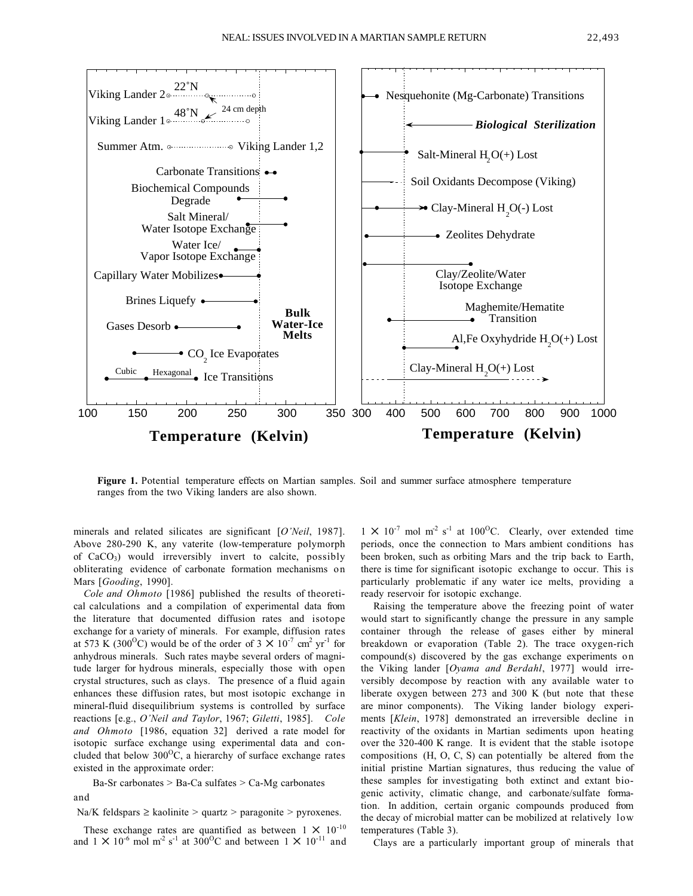

**Figure 1.** Potential temperature effects on Martian samples. Soil and summer surface atmosphere temperature ranges from the two Viking landers are also shown.

minerals and related silicates are significant [*O'Neil*, 1987]. Above 280-290 K, any vaterite (low-temperature polymorph of CaCO3) would irreversibly invert to calcite, possibly obliterating evidence of carbonate formation mechanisms on Mars [*Gooding*, 1990].

*Cole and Ohmoto* [1986] published the results of theoretical calculations and a compilation of experimental data from the literature that documented diffusion rates and isotope exchange for a variety of minerals. For example, diffusion rates at 573 K (300<sup>o</sup>C) would be of the order of 3  $\times$  10<sup>-7</sup> cm<sup>2</sup> yr<sup>-1</sup> for anhydrous minerals. Such rates maybe several orders of magnitude larger for hydrous minerals, especially those with open crystal structures, such as clays. The presence of a fluid again enhances these diffusion rates, but most isotopic exchange in mineral-fluid disequilibrium systems is controlled by surface reactions [e.g., *O'Neil and Taylor*, 1967; *Giletti*, 1985]. *Cole and Ohmoto* [1986, equation 32] derived a rate model for isotopic surface exchange using experimental data and concluded that below  $300^{\circ}$ C, a hierarchy of surface exchange rates existed in the approximate order:

Ba-Sr carbonates > Ba-Ca sulfates > Ca-Mg carbonates and

Na/K feldspars  $\geq$  kaolinite  $>$  quartz  $>$  paragonite  $>$  pyroxenes.

These exchange rates are quantified as between  $1 \times 10^{-10}$ and  $1 \times 10^{-6}$  mol m<sup>-2</sup> s<sup>-1</sup> at 300<sup>o</sup>C and between  $1 \times 10^{-11}$  and  $1 \times 10^{-7}$  mol m<sup>-2</sup> s<sup>-1</sup> at 100<sup>o</sup>C. Clearly, over extended time periods, once the connection to Mars ambient conditions has been broken, such as orbiting Mars and the trip back to Earth, there is time for significant isotopic exchange to occur. This is particularly problematic if any water ice melts, providing a ready reservoir for isotopic exchange.

Raising the temperature above the freezing point of water would start to significantly change the pressure in any sample container through the release of gases either by mineral breakdown or evaporation (Table 2). The trace oxygen-rich compound(s) discovered by the gas exchange experiments on the Viking lander [*Oyama and Berdahl*, 1977] would irreversibly decompose by reaction with any available water to liberate oxygen between 273 and 300 K (but note that these are minor components). The Viking lander biology experiments [*Klein*, 1978] demonstrated an irreversible decline in reactivity of the oxidants in Martian sediments upon heating over the 320-400 K range. It is evident that the stable isotope compositions (H, O, C, S) can potentially be altered from the initial pristine Martian signatures, thus reducing the value of these samples for investigating both extinct and extant biogenic activity, climatic change, and carbonate/sulfate formation. In addition, certain organic compounds produced from the decay of microbial matter can be mobilized at relatively low temperatures (Table 3).

Clays are a particularly important group of minerals that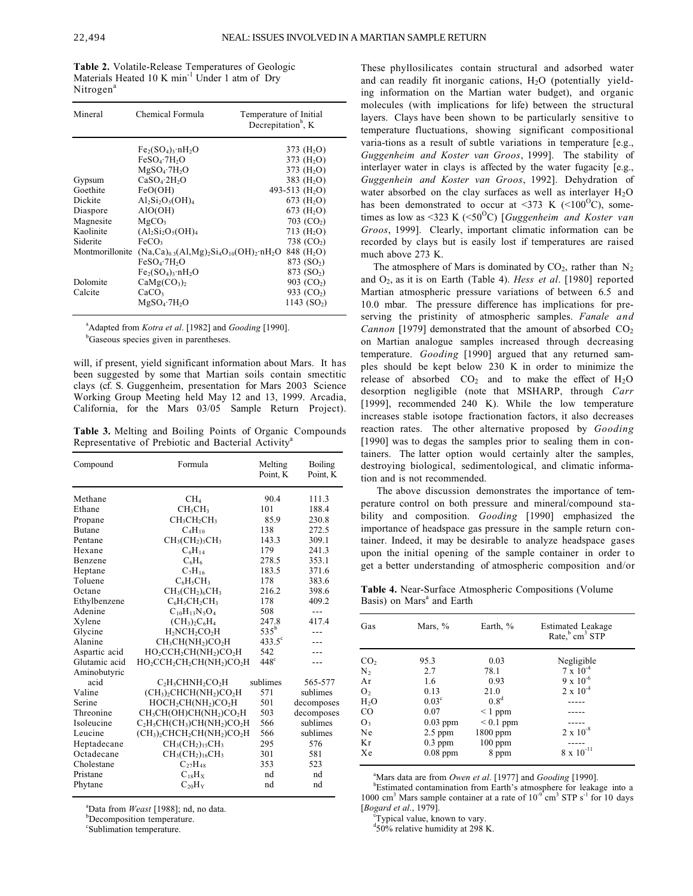**Table 2.** Volatile-Release Temperatures of Geologic Materials Heated 10 K min<sup>-1</sup> Under 1 atm of Dry Nitrogen<sup>a</sup>

| Mineral                     | Chemical Formula                                                             | Temperature of Initial<br>Decrepitation <sup>b</sup> , K |
|-----------------------------|------------------------------------------------------------------------------|----------------------------------------------------------|
|                             | $Fe2(SO4)3·nH2O$<br>$FeSO_4$ -7H <sub>2</sub> O                              | 373 $(H2O)$<br>373 $(H2O)$                               |
|                             | $MgSO_4$ ·7H <sub>2</sub> O                                                  | 373 $(H2O)$                                              |
| Gypsum<br>Goethite          | CaSO <sub>4</sub> ·2H <sub>2</sub> O<br>FeO(OH)                              | 383 (H <sub>2</sub> O)<br>493-513 $(H2O)$                |
| Dickite                     | $Al_2Si_2O_5(OH)_4$                                                          | 673 $(H2O)$                                              |
| Diaspore<br>Magnesite       | AIO(OH)<br>MgCO <sub>3</sub>                                                 | $673$ (H <sub>2</sub> O)<br>703 $(CO2)$                  |
| Kaolinite                   | $(Al_2Si_2O_5(OH)_4$                                                         | 713 $(H2O)$                                              |
| Siderite<br>Montmorillonite | FeCO <sub>3</sub><br>$(Na, Ca)_{0.3}(A1, Mg)_{2}Si_{4}O_{10}(OH)_{2}nH_{2}O$ | 738 $(CO2)$<br>848 (H <sub>2</sub> O)                    |
|                             | $FeSO_4$ -7H <sub>2</sub> O                                                  | 873 $(SO2)$                                              |
| Dolomite                    | $Fe2(SO4)$ <sub>3</sub> . $nH2O$<br>CaMg(CO <sub>3</sub> ) <sub>2</sub>      | 873 (SO <sub>2</sub> )<br>903 $(CO2)$                    |
| Calcite                     | CaCO <sub>3</sub><br>$MgSO_4$ -7H <sub>2</sub> O                             | 933 (CO <sub>2</sub> )<br>1143(SO <sub>2</sub> )         |
|                             |                                                                              |                                                          |

<sup>a</sup> Adapted from *Kotra et al.* [1982] and *Gooding* [1990].

<sup>b</sup>Gaseous species given in parentheses.

will, if present, yield significant information about Mars. It has been suggested by some that Martian soils contain smectitic clays (cf. S. Guggenheim, presentation for Mars 2003 Science Working Group Meeting held May 12 and 13, 1999. Arcadia, California, for the Mars 03/05 Sample Return Project).

**Table 3.** Melting and Boiling Points of Organic Compounds Representative of Prebiotic and Bacterial Activity<sup>a</sup>

| Compound      | Formula                                                                                | Melting<br>Point, K | Boiling<br>Point, K |
|---------------|----------------------------------------------------------------------------------------|---------------------|---------------------|
| Methane       | CH <sub>4</sub>                                                                        | 90.4                | 111.3               |
| Ethane        | CH <sub>3</sub> CH <sub>3</sub>                                                        | 101                 | 188.4               |
| Propane       | $CH_3CH_2CH_3$                                                                         | 85.9                | 230.8               |
| <b>Butane</b> | $C_4H_{10}$                                                                            | 138                 | 272.5               |
| Pentane       | $CH3(CH2)3CH3$                                                                         | 143.3               | 309.1               |
| Hexane        | $C_6H_{14}$                                                                            | 179                 | 241.3               |
| Benzene       | $C_6H_6$                                                                               | 278.5               | 353.1               |
| Heptane       | $C_7H_{16}$                                                                            | 183.5               | 371.6               |
| Toluene       | $C_6H_5CH_3$                                                                           | 178                 | 383.6               |
| Octane        | $CH3(CH2)6CH3$                                                                         | 216.2               | 398.6               |
| Ethylbenzene  | $C_6H_5CH_2CH_3$                                                                       | 178                 | 409.2               |
| Adenine       | $C_{10}H_{13}N_5O_4$                                                                   | 508                 | ---                 |
| Xylene        | $(CH_3)_2C_6H_4$                                                                       | 247.8               | 417.4               |
| Glycine       | $H2NCH2CO2H$                                                                           | $535^{\rm b}$       |                     |
| Alanine       | $CH_3CH(NH_2)CO_2H$                                                                    | $433.5^{\circ}$     |                     |
| Aspartic acid | HO <sub>2</sub> CCH <sub>2</sub> CH(NH <sub>2</sub> )CO <sub>2</sub> H                 | 542                 |                     |
| Glutamic acid | HO <sub>2</sub> CCH <sub>2</sub> CH <sub>2</sub> CH(NH <sub>2</sub> )CO <sub>2</sub> H | $448^\circ$         |                     |
| Aminobutyric  |                                                                                        |                     |                     |
| acid          | C <sub>2</sub> H <sub>5</sub> CHNH <sub>2</sub> CO <sub>2</sub> H                      | sublimes            | 565-577             |
| Valine        | $(CH3)2CHCH(NH2)CO2H$                                                                  | 571                 | sublimes            |
| Serine        | $HOCH_2CH(NH_2)CO_2H$                                                                  | 501                 | decomposes          |
| Threonine     | CH <sub>3</sub> CH(OH)CH(NH <sub>2</sub> )CO <sub>2</sub> H                            | 503                 | decomposes          |
| Isoleucine    | $C_2H_5CH(CH_3)CH(NH_2)CO_2H$                                                          | 566                 | sublimes            |
| Leucine       | $(CH_3)_2CHCH_2CH(NH_2)CO_2H$                                                          | 566                 | sublimes            |
| Heptadecane   | $CH3(CH2)15CH3$                                                                        | 295                 | 576                 |
| Octadecane    | $CH_3CH_2)_{16}CH_3$                                                                   | 301                 | 581                 |
| Cholestane    | $C_{27}H_{48}$                                                                         | 353                 | 523                 |
| Pristane      | $C_{18}H_X$                                                                            | nd                  | nd                  |
| Phytane       | $C_{20}H_Y$                                                                            | nd                  | nd                  |

 $^{a}$ Data from *Weast* [1988]; nd, no data.

*<u>b</u>*Decomposition temperature.

c Sublimation temperature.

These phyllosilicates contain structural and adsorbed water and can readily fit inorganic cations,  $H<sub>2</sub>O$  (potentially yielding information on the Martian water budget), and organic molecules (with implications for life) between the structural layers. Clays have been shown to be particularly sensitive to temperature fluctuations, showing significant compositional varia-tions as a result of subtle variations in temperature [e.g., *Guggenheim and Koster van Groos*, 1999]. The stability of interlayer water in clays is affected by the water fugacity [e.g., *Guggenhein and Koster van Groos*, 1992]. Dehydration of water absorbed on the clay surfaces as well as interlayer  $H_2O$ has been demonstrated to occur at <373 K (<100<sup>o</sup>C), sometimes as low as <323 K (<50<sup>o</sup>C) [*Guggenheim and Koster van Groos*, 1999]. Clearly, important climatic information can be recorded by clays but is easily lost if temperatures are raised much above 273 K.

The atmosphere of Mars is dominated by  $CO<sub>2</sub>$ , rather than  $N<sub>2</sub>$ and O2, as it is on Earth (Table 4). *Hess et al*. [1980] reported Martian atmospheric pressure variations of between 6.5 and 10.0 mbar. The pressure difference has implications for preserving the pristinity of atmospheric samples. *Fanale and Cannon* [1979] demonstrated that the amount of absorbed CO<sub>2</sub> on Martian analogue samples increased through decreasing temperature. *Gooding* [1990] argued that any returned samples should be kept below 230 K in order to minimize the release of absorbed  $CO<sub>2</sub>$  and to make the effect of  $H<sub>2</sub>O$ desorption negligible (note that MSHARP, through *Carr* [1999], recommended 240 K). While the low temperature increases stable isotope fractionation factors, it also decreases reaction rates. The other alternative proposed by *Gooding* [1990] was to degas the samples prior to sealing them in containers. The latter option would certainly alter the samples, destroying biological, sedimentological, and climatic information and is not recommended.

The above discussion demonstrates the importance of temperature control on both pressure and mineral/compound stability and composition. *Gooding* [1990] emphasized the importance of headspace gas pressure in the sample return container. Indeed, it may be desirable to analyze headspace gases upon the initial opening of the sample container in order to get a better understanding of atmospheric composition and/or

**Table 4.** Near-Surface Atmospheric Compositions (Volume Basis) on Mars<sup>a</sup> and Earth

| Gas             | Mars, $%$         | Earth, $\%$      | <b>Estimated Leakage</b><br>Rate, cm <sup>3</sup> STP |
|-----------------|-------------------|------------------|-------------------------------------------------------|
| CO <sub>2</sub> | 95.3              | 0.03             | Negligible                                            |
| $N_{2}$         | 2.7               | 78.1             | $7 \times 10^{-4}$                                    |
| Ar              | 1.6               | 0.93             | $9 \times 10^{-6}$                                    |
| O <sub>2</sub>  | 0.13              | 21.0             | $2 \times 10^{-4}$                                    |
| $H_2O$          | 0.03 <sup>c</sup> | 0.8 <sup>d</sup> |                                                       |
| <sub>CO</sub>   | 0.07              | $\leq 1$ ppm     |                                                       |
| O <sub>3</sub>  | $0.03$ ppm        | $< 0.1$ ppm      |                                                       |
| Ne              | $2.5$ ppm         | $1800$ ppm       | $2 \times 10^{-8}$                                    |
| Kr              | $0.3$ ppm         | $100$ ppm        |                                                       |
| Xe              | $0.08$ ppm        | 8 ppm            | $8 \times 10^{-11}$                                   |

<sup>a</sup>Mars data are from *Owen et al.* [1977] and *Gooding* [1990].

Estimated contamination from Earth's atmosphere for leakage into a 1000 cm<sup>3</sup> Mars sample container at a rate of  $10^{-9}$  cm<sup>3</sup> STP s<sup>-1</sup> for 10 days [Bogard et al., 1979].

Typical value, known to vary.

 $\rm{d}50\%$  relative humidity at 298 K.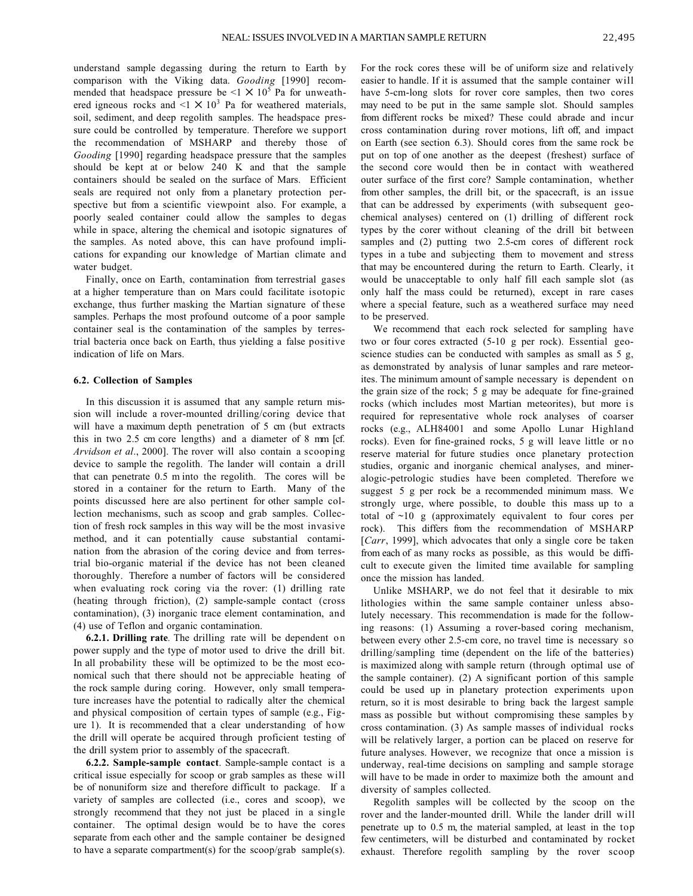understand sample degassing during the return to Earth by comparison with the Viking data. *Gooding* [1990] recommended that headspace pressure be  $\leq 1 \times 10^5$  Pa for unweathered igneous rocks and  $\leq 1 \times 10^3$  Pa for weathered materials, soil, sediment, and deep regolith samples. The headspace pressure could be controlled by temperature. Therefore we support the recommendation of MSHARP and thereby those of *Gooding* [1990] regarding headspace pressure that the samples should be kept at or below 240 K and that the sample containers should be sealed on the surface of Mars. Efficient seals are required not only from a planetary protection perspective but from a scientific viewpoint also. For example, a poorly sealed container could allow the samples to degas while in space, altering the chemical and isotopic signatures of the samples. As noted above, this can have profound implications for expanding our knowledge of Martian climate and water budget.

Finally, once on Earth, contamination from terrestrial gases at a higher temperature than on Mars could facilitate isotopic exchange, thus further masking the Martian signature of these samples. Perhaps the most profound outcome of a poor sample container seal is the contamination of the samples by terrestrial bacteria once back on Earth, thus yielding a false positive indication of life on Mars.

#### **6.2. Collection of Samples**

In this discussion it is assumed that any sample return mission will include a rover-mounted drilling/coring device that will have a maximum depth penetration of 5 cm (but extracts this in two 2.5 cm core lengths) and a diameter of 8 mm [cf. *Arvidson et al*., 2000]. The rover will also contain a scooping device to sample the regolith. The lander will contain a drill that can penetrate 0.5 m into the regolith. The cores will be stored in a container for the return to Earth. Many of the points discussed here are also pertinent for other sample collection mechanisms, such as scoop and grab samples. Collection of fresh rock samples in this way will be the most invasive method, and it can potentially cause substantial contamination from the abrasion of the coring device and from terrestrial bio-organic material if the device has not been cleaned thoroughly. Therefore a number of factors will be considered when evaluating rock coring via the rover: (1) drilling rate (heating through friction), (2) sample-sample contact (cross contamination), (3) inorganic trace element contamination, and (4) use of Teflon and organic contamination.

**6.2.1. Drilling rate***.* The drilling rate will be dependent on power supply and the type of motor used to drive the drill bit. In all probability these will be optimized to be the most economical such that there should not be appreciable heating of the rock sample during coring. However, only small temperature increases have the potential to radically alter the chemical and physical composition of certain types of sample (e.g., Figure 1). It is recommended that a clear understanding of how the drill will operate be acquired through proficient testing of the drill system prior to assembly of the spacecraft.

**6.2.2. Sample-sample contact**. Sample-sample contact is a critical issue especially for scoop or grab samples as these will be of nonuniform size and therefore difficult to package. If a variety of samples are collected (i.e., cores and scoop), we strongly recommend that they not just be placed in a single container. The optimal design would be to have the cores separate from each other and the sample container be designed to have a separate compartment(s) for the scoop/grab sample(s). For the rock cores these will be of uniform size and relatively easier to handle. If it is assumed that the sample container will have 5-cm-long slots for rover core samples, then two cores may need to be put in the same sample slot. Should samples from different rocks be mixed? These could abrade and incur cross contamination during rover motions, lift off, and impact on Earth (see section 6.3). Should cores from the same rock be put on top of one another as the deepest (freshest) surface of the second core would then be in contact with weathered outer surface of the first core? Sample contamination, whether from other samples, the drill bit, or the spacecraft, is an issue that can be addressed by experiments (with subsequent geochemical analyses) centered on (1) drilling of different rock types by the corer without cleaning of the drill bit between samples and (2) putting two 2.5-cm cores of different rock types in a tube and subjecting them to movement and stress that may be encountered during the return to Earth. Clearly, it would be unacceptable to only half fill each sample slot (as only half the mass could be returned), except in rare cases where a special feature, such as a weathered surface may need to be preserved.

We recommend that each rock selected for sampling have two or four cores extracted (5-10 g per rock). Essential geoscience studies can be conducted with samples as small as 5 g, as demonstrated by analysis of lunar samples and rare meteorites. The minimum amount of sample necessary is dependent on the grain size of the rock; 5 g may be adequate for fine-grained rocks (which includes most Martian meteorites), but more is required for representative whole rock analyses of coarser rocks (e.g., ALH84001 and some Apollo Lunar Highland rocks). Even for fine-grained rocks, 5 g will leave little or no reserve material for future studies once planetary protection studies, organic and inorganic chemical analyses, and mineralogic-petrologic studies have been completed. Therefore we suggest 5 g per rock be a recommended minimum mass. We strongly urge, where possible, to double this mass up to a total of ~10 g (approximately equivalent to four cores per rock). This differs from the recommendation of MSHARP [*Carr*, 1999], which advocates that only a single core be taken from each of as many rocks as possible, as this would be difficult to execute given the limited time available for sampling once the mission has landed.

Unlike MSHARP, we do not feel that it desirable to mix lithologies within the same sample container unless absolutely necessary. This recommendation is made for the following reasons: (1) Assuming a rover-based coring mechanism, between every other 2.5-cm core, no travel time is necessary so drilling/sampling time (dependent on the life of the batteries) is maximized along with sample return (through optimal use of the sample container). (2) A significant portion of this sample could be used up in planetary protection experiments upon return, so it is most desirable to bring back the largest sample mass as possible but without compromising these samples by cross contamination. (3) As sample masses of individual rocks will be relatively larger, a portion can be placed on reserve for future analyses. However, we recognize that once a mission is underway, real-time decisions on sampling and sample storage will have to be made in order to maximize both the amount and diversity of samples collected.

Regolith samples will be collected by the scoop on the rover and the lander-mounted drill. While the lander drill will penetrate up to 0.5 m, the material sampled, at least in the top few centimeters, will be disturbed and contaminated by rocket exhaust. Therefore regolith sampling by the rover scoop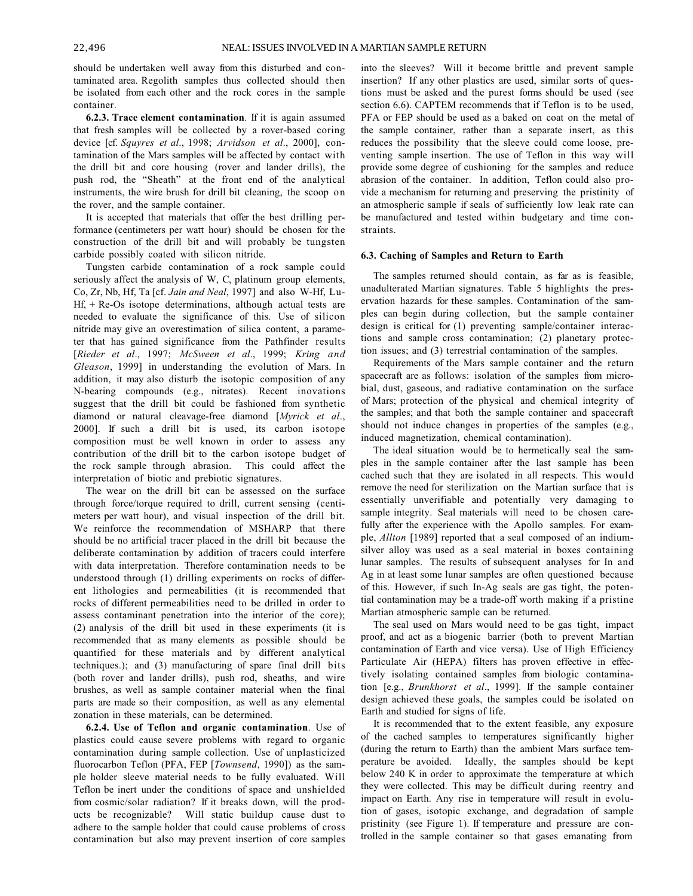should be undertaken well away from this disturbed and contaminated area. Regolith samples thus collected should then be isolated from each other and the rock cores in the sample container.

**6.2.3. Trace element contamination***.* If it is again assumed that fresh samples will be collected by a rover-based coring device [cf. *Squyres et al*., 1998; *Arvidson et al*., 2000], contamination of the Mars samples will be affected by contact with the drill bit and core housing (rover and lander drills), the push rod, the "Sheath" at the front end of the analytical instruments, the wire brush for drill bit cleaning, the scoop on the rover, and the sample container.

It is accepted that materials that offer the best drilling performance (centimeters per watt hour) should be chosen for the construction of the drill bit and will probably be tungsten carbide possibly coated with silicon nitride.

Tungsten carbide contamination of a rock sample could seriously affect the analysis of W, C, platinum group elements, Co, Zr, Nb, Hf, Ta [cf. *Jain and Neal*, 1997] and also W-Hf, Lu- $Hf + Re-Os$  isotope determinations, although actual tests are needed to evaluate the significance of this. Use of silicon nitride may give an overestimation of silica content, a parameter that has gained significance from the Pathfinder results [*Rieder et al*., 1997; *McSween et al*., 1999; *Kring and Gleason*, 1999] in understanding the evolution of Mars. In addition, it may also disturb the isotopic composition of any N-bearing compounds (e.g., nitrates). Recent inovations suggest that the drill bit could be fashioned from synthetic diamond or natural cleavage-free diamond [*Myrick et al*., 2000]. If such a drill bit is used, its carbon isotope composition must be well known in order to assess any contribution of the drill bit to the carbon isotope budget of the rock sample through abrasion. This could affect the interpretation of biotic and prebiotic signatures.

The wear on the drill bit can be assessed on the surface through force/torque required to drill, current sensing (centimeters per watt hour), and visual inspection of the drill bit. We reinforce the recommendation of MSHARP that there should be no artificial tracer placed in the drill bit because the deliberate contamination by addition of tracers could interfere with data interpretation. Therefore contamination needs to be understood through (1) drilling experiments on rocks of different lithologies and permeabilities (it is recommended that rocks of different permeabilities need to be drilled in order to assess contaminant penetration into the interior of the core); (2) analysis of the drill bit used in these experiments (it is recommended that as many elements as possible should be quantified for these materials and by different analytical techniques.); and (3) manufacturing of spare final drill bits (both rover and lander drills), push rod, sheaths, and wire brushes, as well as sample container material when the final parts are made so their composition, as well as any elemental zonation in these materials, can be determined.

**6.2.4. Use of Teflon and organic contamination**. Use of plastics could cause severe problems with regard to organic contamination during sample collection. Use of unplasticized fluorocarbon Teflon (PFA, FEP [*Townsend*, 1990]) as the sample holder sleeve material needs to be fully evaluated. Will Teflon be inert under the conditions of space and unshielded from cosmic/solar radiation? If it breaks down, will the products be recognizable? Will static buildup cause dust to adhere to the sample holder that could cause problems of cross contamination but also may prevent insertion of core samples into the sleeves? Will it become brittle and prevent sample insertion? If any other plastics are used, similar sorts of questions must be asked and the purest forms should be used (see section 6.6). CAPTEM recommends that if Teflon is to be used, PFA or FEP should be used as a baked on coat on the metal of the sample container, rather than a separate insert, as this reduces the possibility that the sleeve could come loose, preventing sample insertion. The use of Teflon in this way will provide some degree of cushioning for the samples and reduce abrasion of the container. In addition, Teflon could also provide a mechanism for returning and preserving the pristinity of an atmospheric sample if seals of sufficiently low leak rate can be manufactured and tested within budgetary and time constraints.

#### **6.3. Caching of Samples and Return to Earth**

The samples returned should contain, as far as is feasible, unadulterated Martian signatures. Table 5 highlights the preservation hazards for these samples. Contamination of the samples can begin during collection, but the sample container design is critical for (1) preventing sample/container interactions and sample cross contamination; (2) planetary protection issues; and (3) terrestrial contamination of the samples.

Requirements of the Mars sample container and the return spacecraft are as follows: isolation of the samples from microbial, dust, gaseous, and radiative contamination on the surface of Mars; protection of the physical and chemical integrity of the samples; and that both the sample container and spacecraft should not induce changes in properties of the samples (e.g., induced magnetization, chemical contamination).

The ideal situation would be to hermetically seal the samples in the sample container after the last sample has been cached such that they are isolated in all respects. This would remove the need for sterilization on the Martian surface that is essentially unverifiable and potentially very damaging to sample integrity. Seal materials will need to be chosen carefully after the experience with the Apollo samples. For example, *Allton* [1989] reported that a seal composed of an indiumsilver alloy was used as a seal material in boxes containing lunar samples. The results of subsequent analyses for In and Ag in at least some lunar samples are often questioned because of this. However, if such In-Ag seals are gas tight, the potential contamination may be a trade-off worth making if a pristine Martian atmospheric sample can be returned.

The seal used on Mars would need to be gas tight, impact proof, and act as a biogenic barrier (both to prevent Martian contamination of Earth and vice versa). Use of High Efficiency Particulate Air (HEPA) filters has proven effective in effectively isolating contained samples from biologic contamination [e.g., *Brunkhorst et al*., 1999]. If the sample container design achieved these goals, the samples could be isolated on Earth and studied for signs of life.

It is recommended that to the extent feasible, any exposure of the cached samples to temperatures significantly higher (during the return to Earth) than the ambient Mars surface temperature be avoided. Ideally, the samples should be kept below 240 K in order to approximate the temperature at which they were collected. This may be difficult during reentry and impact on Earth. Any rise in temperature will result in evolution of gases, isotopic exchange, and degradation of sample pristinity (see Figure 1). If temperature and pressure are controlled in the sample container so that gases emanating from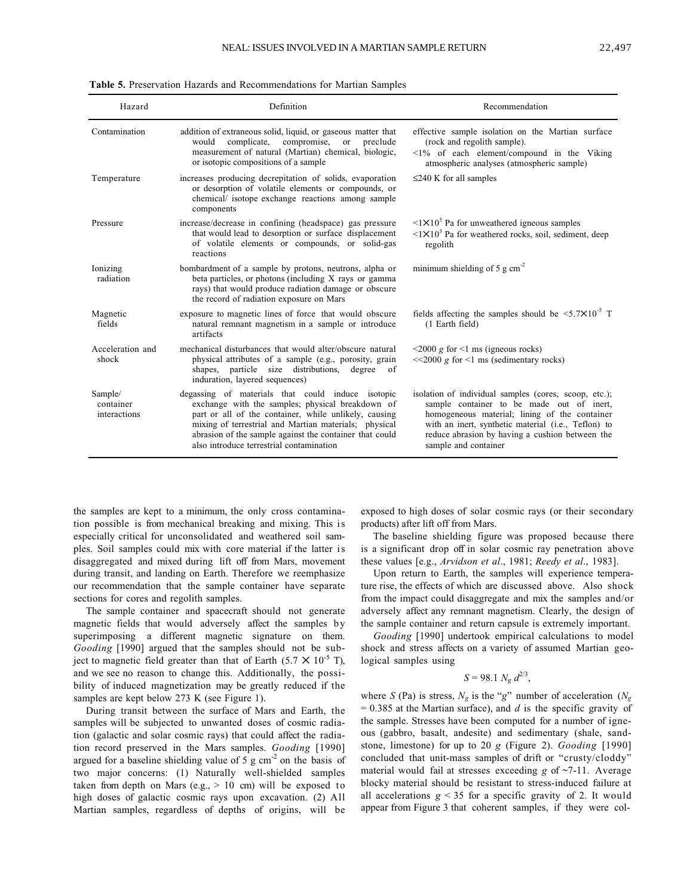| Hazard                               | Definition                                                                                                                                                                                                                                                                                                                     | Recommendation                                                                                                                                                                                                                                                                        |
|--------------------------------------|--------------------------------------------------------------------------------------------------------------------------------------------------------------------------------------------------------------------------------------------------------------------------------------------------------------------------------|---------------------------------------------------------------------------------------------------------------------------------------------------------------------------------------------------------------------------------------------------------------------------------------|
| Contamination                        | addition of extraneous solid, liquid, or gaseous matter that<br>compromise, or<br>complicate,<br>preclude<br>would<br>measurement of natural (Martian) chemical, biologic,<br>or isotopic compositions of a sample                                                                                                             | effective sample isolation on the Martian surface<br>(rock and regolith sample).<br>$\leq$ 1% of each element/compound in the Viking<br>atmospheric analyses (atmospheric sample)                                                                                                     |
| Temperature                          | increases producing decrepitation of solids, evaporation<br>or desorption of volatile elements or compounds, or<br>chemical/ isotope exchange reactions among sample<br>components                                                                                                                                             | $\leq$ 240 K for all samples                                                                                                                                                                                                                                                          |
| Pressure                             | increase/decrease in confining (headspace) gas pressure<br>that would lead to desorption or surface displacement<br>of volatile elements or compounds, or solid-gas<br>reactions                                                                                                                                               | $\langle 1 \times 10^5$ Pa for unweathered igneous samples<br>$\langle 1 \times 10^3$ Pa for weathered rocks, soil, sediment, deep<br>regolith                                                                                                                                        |
| Ionizing<br>radiation                | bombardment of a sample by protons, neutrons, alpha or<br>beta particles, or photons (including X rays or gamma<br>rays) that would produce radiation damage or obscure<br>the record of radiation exposure on Mars                                                                                                            | minimum shielding of 5 g $cm-2$                                                                                                                                                                                                                                                       |
| Magnetic<br>fields                   | exposure to magnetic lines of force that would obscure<br>natural remnant magnetism in a sample or introduce<br>artifacts                                                                                                                                                                                                      | fields affecting the samples should be $\leq 5.7 \times 10^{-5}$ T<br>(1 Earth field)                                                                                                                                                                                                 |
| Acceleration and<br>shock            | mechanical disturbances that would alter/obscure natural<br>physical attributes of a sample (e.g., porosity, grain<br>shapes, particle size distributions, degree of<br>induration, layered sequences)                                                                                                                         | $\leq$ 2000 g for $\leq$ 1 ms (igneous rocks)<br>$<<$ 2000 g for $<$ 1 ms (sedimentary rocks)                                                                                                                                                                                         |
| Sample/<br>container<br>interactions | degassing of materials that could induce isotopic<br>exchange with the samples; physical breakdown of<br>part or all of the container, while unlikely, causing<br>mixing of terrestrial and Martian materials; physical<br>abrasion of the sample against the container that could<br>also introduce terrestrial contamination | isolation of individual samples (cores, scoop, etc.);<br>sample container to be made out of inert,<br>homogeneous material; lining of the container<br>with an inert, synthetic material (i.e., Teflon) to<br>reduce abrasion by having a cushion between the<br>sample and container |

**Table 5.** Preservation Hazards and Recommendations for Martian Samples

the samples are kept to a minimum, the only cross contamination possible is from mechanical breaking and mixing. This is especially critical for unconsolidated and weathered soil samples. Soil samples could mix with core material if the latter is disaggregated and mixed during lift off from Mars, movement during transit, and landing on Earth. Therefore we reemphasize our recommendation that the sample container have separate sections for cores and regolith samples.

The sample container and spacecraft should not generate magnetic fields that would adversely affect the samples by superimposing a different magnetic signature on them. *Gooding* [1990] argued that the samples should not be subject to magnetic field greater than that of Earth (5.7  $\times$  10<sup>-5</sup> T), and we see no reason to change this. Additionally, the possibility of induced magnetization may be greatly reduced if the samples are kept below 273 K (see Figure 1).

During transit between the surface of Mars and Earth, the samples will be subjected to unwanted doses of cosmic radiation (galactic and solar cosmic rays) that could affect the radiation record preserved in the Mars samples. *Gooding* [1990] argued for a baseline shielding value of 5 g  $cm<sup>2</sup>$  on the basis of two major concerns: (1) Naturally well-shielded samples taken from depth on Mars (e.g.,  $> 10$  cm) will be exposed to high doses of galactic cosmic rays upon excavation. (2) All Martian samples, regardless of depths of origins, will be exposed to high doses of solar cosmic rays (or their secondary products) after lift off from Mars.

The baseline shielding figure was proposed because there is a significant drop off in solar cosmic ray penetration above these values [e.g., *Arvidson et al*., 1981; *Reedy et al*., 1983].

Upon return to Earth, the samples will experience temperature rise, the effects of which are discussed above. Also shock from the impact could disaggregate and mix the samples and/or adversely affect any remnant magnetism. Clearly, the design of the sample container and return capsule is extremely important.

*Gooding* [1990] undertook empirical calculations to model shock and stress affects on a variety of assumed Martian geological samples using

$$
S = 98.1 \; N_g \; d^{2/3},
$$

where *S* (Pa) is stress,  $N_g$  is the "*g*" number of acceleration ( $N_g$ )  $= 0.385$  at the Martian surface), and *d* is the specific gravity of the sample. Stresses have been computed for a number of igneous (gabbro, basalt, andesite) and sedimentary (shale, sandstone, limestone) for up to 20 *g* (Figure 2). *Gooding* [1990] concluded that unit-mass samples of drift or "crusty/cloddy" material would fail at stresses exceeding *g* of ~7-11. Average blocky material should be resistant to stress-induced failure at all accelerations  $g < 35$  for a specific gravity of 2. It would appear from Figure 3 that coherent samples, if they were col-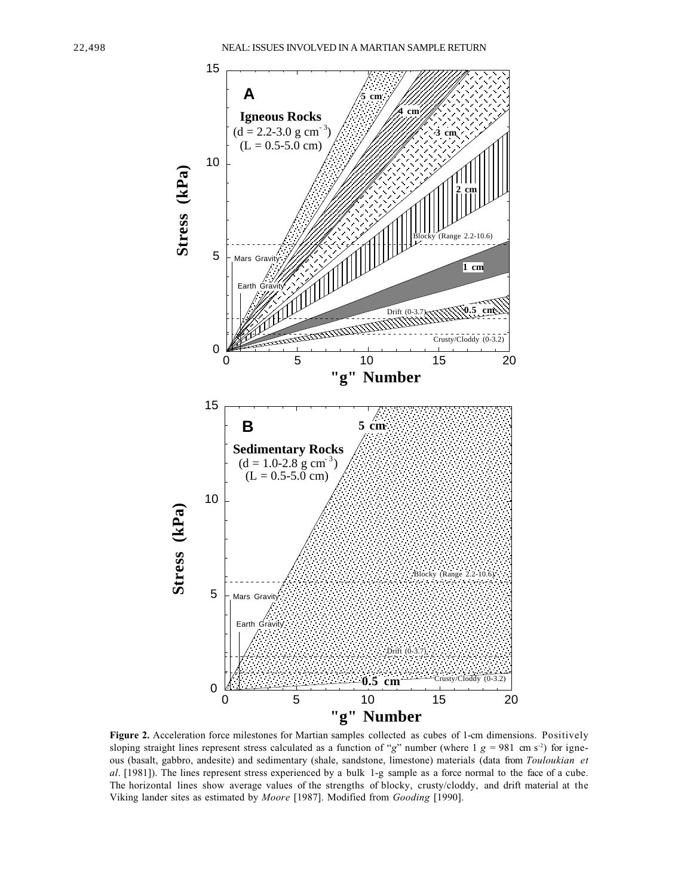

Figure 2. Acceleration force milestones for Martian samples collected as cubes of 1-cm dimensions. Positively sloping straight lines represent stress calculated as a function of " $g$ " number (where 1  $g = 981$  cm s<sup>-2</sup>) for igneous (basalt, gabbro, andesite) and sedimentary (shale, sandstone, limestone) materials (data from *Touloukian et al*. [1981]). The lines represent stress experienced by a bulk 1-g sample as a force normal to the face of a cube. The horizontal lines show average values of the strengths of blocky, crusty/cloddy, and drift material at the Viking lander sites as estimated by *Moore* [1987]. Modified from *Gooding* [1990].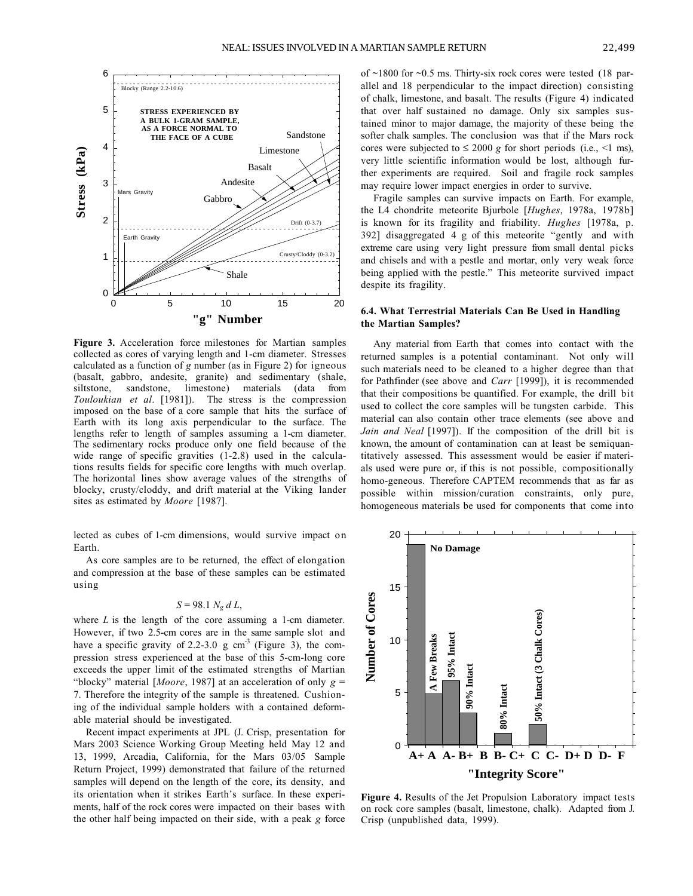

**Figure 3.** Acceleration force milestones for Martian samples collected as cores of varying length and 1-cm diameter. Stresses calculated as a function of *g* number (as in Figure 2) for igneous (basalt, gabbro, andesite, granite) and sedimentary (shale, siltstone, sandstone, limestone) materials (data from *Touloukian et al*. [1981]). The stress is the compression imposed on the base of a core sample that hits the surface of Earth with its long axis perpendicular to the surface. The lengths refer to length of samples assuming a 1-cm diameter. The sedimentary rocks produce only one field because of the wide range of specific gravities (1-2.8) used in the calculations results fields for specific core lengths with much overlap. The horizontal lines show average values of the strengths of blocky, crusty/cloddy, and drift material at the Viking lander sites as estimated by *Moore* [1987].

lected as cubes of 1-cm dimensions, would survive impact on Earth.

As core samples are to be returned, the effect of elongation and compression at the base of these samples can be estimated using

$$
S=98.1\ N_g\ d\ L,
$$

where *L* is the length of the core assuming a 1-cm diameter. However, if two 2.5-cm cores are in the same sample slot and have a specific gravity of 2.2-3.0 g  $cm<sup>-3</sup>$  (Figure 3), the compression stress experienced at the base of this 5-cm-long core exceeds the upper limit of the estimated strengths of Martian "blocky" material [*Moore*, 1987] at an acceleration of only *g* = 7. Therefore the integrity of the sample is threatened. Cushioning of the individual sample holders with a contained deformable material should be investigated.

Recent impact experiments at JPL (J. Crisp, presentation for Mars 2003 Science Working Group Meeting held May 12 and 13, 1999, Arcadia, California, for the Mars 03/05 Sample Return Project, 1999) demonstrated that failure of the returned samples will depend on the length of the core, its density, and its orientation when it strikes Earth's surface. In these experiments, half of the rock cores were impacted on their bases with the other half being impacted on their side, with a peak *g* force of ~1800 for ~0.5 ms. Thirty-six rock cores were tested (18 parallel and 18 perpendicular to the impact direction) consisting of chalk, limestone, and basalt. The results (Figure 4) indicated that over half sustained no damage. Only six samples sustained minor to major damage, the majority of these being the softer chalk samples. The conclusion was that if the Mars rock cores were subjected to  $\leq 2000$  *g* for short periods (i.e., <1 ms), very little scientific information would be lost, although further experiments are required. Soil and fragile rock samples may require lower impact energies in order to survive.

Fragile samples can survive impacts on Earth. For example, the L4 chondrite meteorite Bjurbole [*Hughes*, 1978a, 1978b] is known for its fragility and friability. *Hughes* [1978a, p. 392] disaggregated 4 g of this meteorite "gently and with extreme care using very light pressure from small dental picks and chisels and with a pestle and mortar, only very weak force being applied with the pestle." This meteorite survived impact despite its fragility.

### **6.4. What Terrestrial Materials Can Be Used in Handling the Martian Samples?**

Any material from Earth that comes into contact with the returned samples is a potential contaminant. Not only will such materials need to be cleaned to a higher degree than that for Pathfinder (see above and *Carr* [1999]), it is recommended that their compositions be quantified. For example, the drill bit used to collect the core samples will be tungsten carbide. This material can also contain other trace elements (see above and *Jain and Neal* [1997]). If the composition of the drill bit is known, the amount of contamination can at least be semiquantitatively assessed. This assessment would be easier if materials used were pure or, if this is not possible, compositionally homo-geneous. Therefore CAPTEM recommends that as far as possible within mission/curation constraints, only pure, homogeneous materials be used for components that come into



**Figure 4.** Results of the Jet Propulsion Laboratory impact tests on rock core samples (basalt, limestone, chalk). Adapted from J. Crisp (unpublished data, 1999).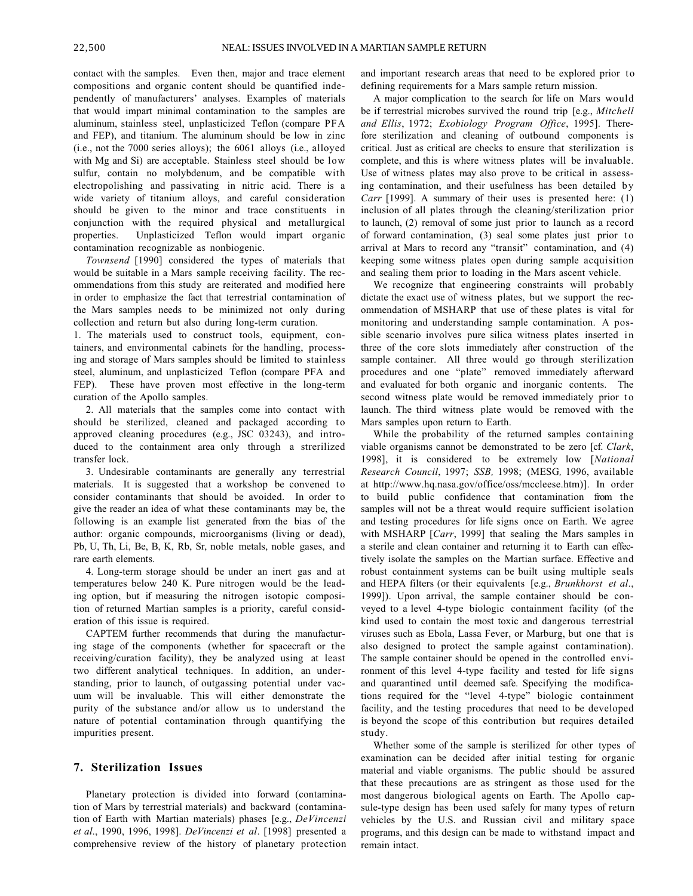contact with the samples. Even then, major and trace element compositions and organic content should be quantified independently of manufacturers' analyses. Examples of materials that would impart minimal contamination to the samples are aluminum, stainless steel, unplasticized Teflon (compare PFA and FEP), and titanium. The aluminum should be low in zinc (i.e., not the 7000 series alloys); the 6061 alloys (i.e., alloyed with Mg and Si) are acceptable. Stainless steel should be low sulfur, contain no molybdenum, and be compatible with electropolishing and passivating in nitric acid. There is a wide variety of titanium alloys, and careful consideration should be given to the minor and trace constituents in conjunction with the required physical and metallurgical properties. Unplasticized Teflon would impart organic contamination recognizable as nonbiogenic.

*Townsend* [1990] considered the types of materials that would be suitable in a Mars sample receiving facility. The recommendations from this study are reiterated and modified here in order to emphasize the fact that terrestrial contamination of the Mars samples needs to be minimized not only during collection and return but also during long-term curation.

1. The materials used to construct tools, equipment, containers, and environmental cabinets for the handling, processing and storage of Mars samples should be limited to stainless steel, aluminum, and unplasticized Teflon (compare PFA and FEP). These have proven most effective in the long-term curation of the Apollo samples.

2. All materials that the samples come into contact with should be sterilized, cleaned and packaged according to approved cleaning procedures (e.g., JSC 03243), and introduced to the containment area only through a strerilized transfer lock.

3. Undesirable contaminants are generally any terrestrial materials. It is suggested that a workshop be convened to consider contaminants that should be avoided. In order to give the reader an idea of what these contaminants may be, the following is an example list generated from the bias of the author: organic compounds, microorganisms (living or dead), Pb, U, Th, Li, Be, B, K, Rb, Sr, noble metals, noble gases, and rare earth elements.

4. Long-term storage should be under an inert gas and at temperatures below 240 K. Pure nitrogen would be the leading option, but if measuring the nitrogen isotopic composition of returned Martian samples is a priority, careful consideration of this issue is required.

CAPTEM further recommends that during the manufacturing stage of the components (whether for spacecraft or the receiving/curation facility), they be analyzed using at least two different analytical techniques. In addition, an understanding, prior to launch, of outgassing potential under vacuum will be invaluable. This will either demonstrate the purity of the substance and/or allow us to understand the nature of potential contamination through quantifying the impurities present.

### **7. Sterilization Issues**

Planetary protection is divided into forward (contamination of Mars by terrestrial materials) and backward (contamination of Earth with Martian materials) phases [e.g., *DeVincenzi et al*., 1990, 1996, 1998]. *DeVincenzi et al*. [1998] presented a comprehensive review of the history of planetary protection and important research areas that need to be explored prior to defining requirements for a Mars sample return mission.

A major complication to the search for life on Mars would be if terrestrial microbes survived the round trip [e.g., *Mitchell and Ellis*, 1972; *Exobiology Program Office*, 1995]. Therefore sterilization and cleaning of outbound components is critical. Just as critical are checks to ensure that sterilization is complete, and this is where witness plates will be invaluable. Use of witness plates may also prove to be critical in assessing contamination, and their usefulness has been detailed by *Carr* [1999]. A summary of their uses is presented here: (1) inclusion of all plates through the cleaning/sterilization prior to launch, (2) removal of some just prior to launch as a record of forward contamination, (3) seal some plates just prior to arrival at Mars to record any "transit" contamination, and (4) keeping some witness plates open during sample acquisition and sealing them prior to loading in the Mars ascent vehicle.

We recognize that engineering constraints will probably dictate the exact use of witness plates, but we support the recommendation of MSHARP that use of these plates is vital for monitoring and understanding sample contamination. A possible scenario involves pure silica witness plates inserted in three of the core slots immediately after construction of the sample container. All three would go through sterilization procedures and one "plate" removed immediately afterward and evaluated for both organic and inorganic contents. The second witness plate would be removed immediately prior to launch. The third witness plate would be removed with the Mars samples upon return to Earth.

While the probability of the returned samples containing viable organisms cannot be demonstrated to be zero [cf. *Clark*, 1998], it is considered to be extremely low [*National Research Council*, 1997; *SSB,* 1998; (MESG*,* 1996, available at http://www.hq.nasa.gov/office/oss/mccleese.htm)]. In order to build public confidence that contamination from the samples will not be a threat would require sufficient isolation and testing procedures for life signs once on Earth. We agree with MSHARP [*Carr*, 1999] that sealing the Mars samples in a sterile and clean container and returning it to Earth can effectively isolate the samples on the Martian surface. Effective and robust containment systems can be built using multiple seals and HEPA filters (or their equivalents [e.g., *Brunkhorst et al*., 1999]). Upon arrival, the sample container should be conveyed to a level 4-type biologic containment facility (of the kind used to contain the most toxic and dangerous terrestrial viruses such as Ebola, Lassa Fever, or Marburg, but one that is also designed to protect the sample against contamination). The sample container should be opened in the controlled environment of this level 4-type facility and tested for life signs and quarantined until deemed safe. Specifying the modifications required for the "level 4-type" biologic containment facility, and the testing procedures that need to be developed is beyond the scope of this contribution but requires detailed study.

Whether some of the sample is sterilized for other types of examination can be decided after initial testing for organic material and viable organisms. The public should be assured that these precautions are as stringent as those used for the most dangerous biological agents on Earth. The Apollo capsule-type design has been used safely for many types of return vehicles by the U.S. and Russian civil and military space programs, and this design can be made to withstand impact and remain intact.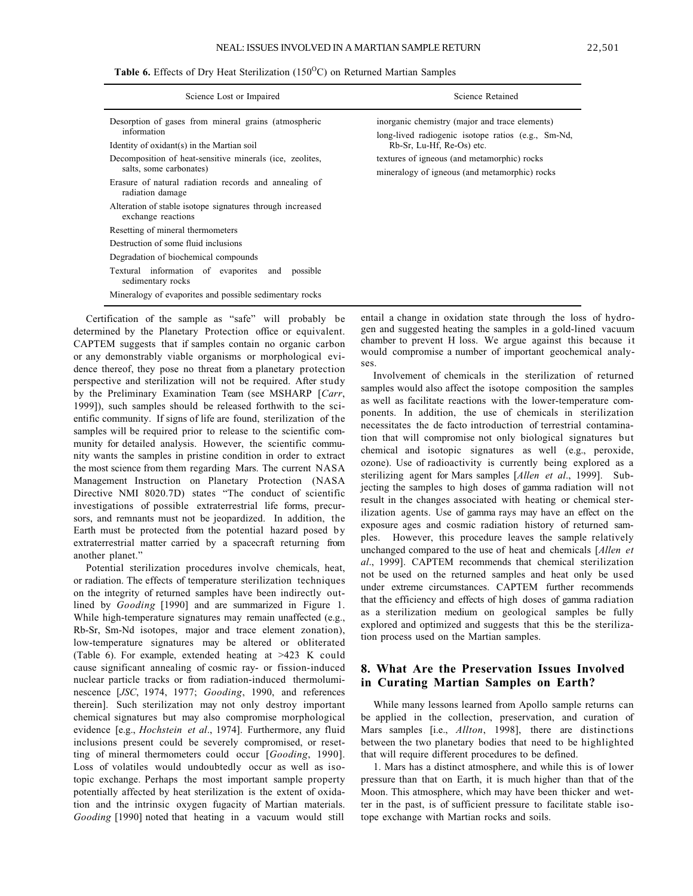**Table 6.** Effects of Dry Heat Sterilization  $(150^{\circ}$ C) on Returned Martian Samples

| Science Lost or Impaired                                                                                                                     | Science Retained                                                                                                                  |
|----------------------------------------------------------------------------------------------------------------------------------------------|-----------------------------------------------------------------------------------------------------------------------------------|
| Desorption of gases from mineral grains (atmospheric<br>information<br>Identity of oxidant(s) in the Martian soil                            | inorganic chemistry (major and trace elements)<br>long-lived radiogenic isotope ratios (e.g., Sm-Nd,<br>Rb-Sr, Lu-Hf, Re-Os) etc. |
| Decomposition of heat-sensitive minerals (ice, zeolites,<br>salts, some carbonates)<br>Erasure of natural radiation records and annealing of | textures of igneous (and metamorphic) rocks<br>mineralogy of igneous (and metamorphic) rocks                                      |
| radiation damage<br>Alteration of stable isotope signatures through increased<br>exchange reactions                                          |                                                                                                                                   |
| Resetting of mineral thermometers<br>Destruction of some fluid inclusions                                                                    |                                                                                                                                   |
| Degradation of biochemical compounds<br>Textural information of evaporites and<br>possible<br>sedimentary rocks                              |                                                                                                                                   |
| Mineralogy of evaporites and possible sedimentary rocks                                                                                      |                                                                                                                                   |

Certification of the sample as "safe" will probably be determined by the Planetary Protection office or equivalent. CAPTEM suggests that if samples contain no organic carbon or any demonstrably viable organisms or morphological evidence thereof, they pose no threat from a planetary protection perspective and sterilization will not be required. After study by the Preliminary Examination Team (see MSHARP [*Carr*, 1999]), such samples should be released forthwith to the scientific community. If signs of life are found, sterilization of the samples will be required prior to release to the scientific community for detailed analysis. However, the scientific community wants the samples in pristine condition in order to extract the most science from them regarding Mars. The current NASA Management Instruction on Planetary Protection (NASA Directive NMI 8020.7D) states "The conduct of scientific investigations of possible extraterrestrial life forms, precursors, and remnants must not be jeopardized. In addition, the Earth must be protected from the potential hazard posed by extraterrestrial matter carried by a spacecraft returning from another planet."

Potential sterilization procedures involve chemicals, heat, or radiation. The effects of temperature sterilization techniques on the integrity of returned samples have been indirectly outlined by *Gooding* [1990] and are summarized in Figure 1. While high-temperature signatures may remain unaffected (e.g., Rb-Sr, Sm-Nd isotopes, major and trace element zonation), low-temperature signatures may be altered or obliterated (Table 6). For example, extended heating at >423 K could cause significant annealing of cosmic ray- or fission-induced nuclear particle tracks or from radiation-induced thermoluminescence [*JSC*, 1974, 1977; *Gooding*, 1990, and references therein]. Such sterilization may not only destroy important chemical signatures but may also compromise morphological evidence [e.g., *Hochstein et al*., 1974]. Furthermore, any fluid inclusions present could be severely compromised, or resetting of mineral thermometers could occur [*Gooding*, 1990]. Loss of volatiles would undoubtedly occur as well as isotopic exchange. Perhaps the most important sample property potentially affected by heat sterilization is the extent of oxidation and the intrinsic oxygen fugacity of Martian materials. *Gooding* [1990] noted that heating in a vacuum would still

entail a change in oxidation state through the loss of hydrogen and suggested heating the samples in a gold-lined vacuum chamber to prevent H loss. We argue against this because it would compromise a number of important geochemical analyses.

Involvement of chemicals in the sterilization of returned samples would also affect the isotope composition the samples as well as facilitate reactions with the lower-temperature components. In addition, the use of chemicals in sterilization necessitates the de facto introduction of terrestrial contamination that will compromise not only biological signatures but chemical and isotopic signatures as well (e.g., peroxide, ozone). Use of radioactivity is currently being explored as a sterilizing agent for Mars samples [*Allen et al*., 1999]. Subjecting the samples to high doses of gamma radiation will not result in the changes associated with heating or chemical sterilization agents. Use of gamma rays may have an effect on the exposure ages and cosmic radiation history of returned samples. However, this procedure leaves the sample relatively unchanged compared to the use of heat and chemicals [*Allen et al*., 1999]. CAPTEM recommends that chemical sterilization not be used on the returned samples and heat only be used under extreme circumstances. CAPTEM further recommends that the efficiency and effects of high doses of gamma radiation as a sterilization medium on geological samples be fully explored and optimized and suggests that this be the sterilization process used on the Martian samples.

# **8. What Are the Preservation Issues Involved in Curating Martian Samples on Earth?**

While many lessons learned from Apollo sample returns can be applied in the collection, preservation, and curation of Mars samples [i.e., *Allton*, 1998], there are distinctions between the two planetary bodies that need to be highlighted that will require different procedures to be defined.

1. Mars has a distinct atmosphere, and while this is of lower pressure than that on Earth, it is much higher than that of the Moon. This atmosphere, which may have been thicker and wetter in the past, is of sufficient pressure to facilitate stable isotope exchange with Martian rocks and soils.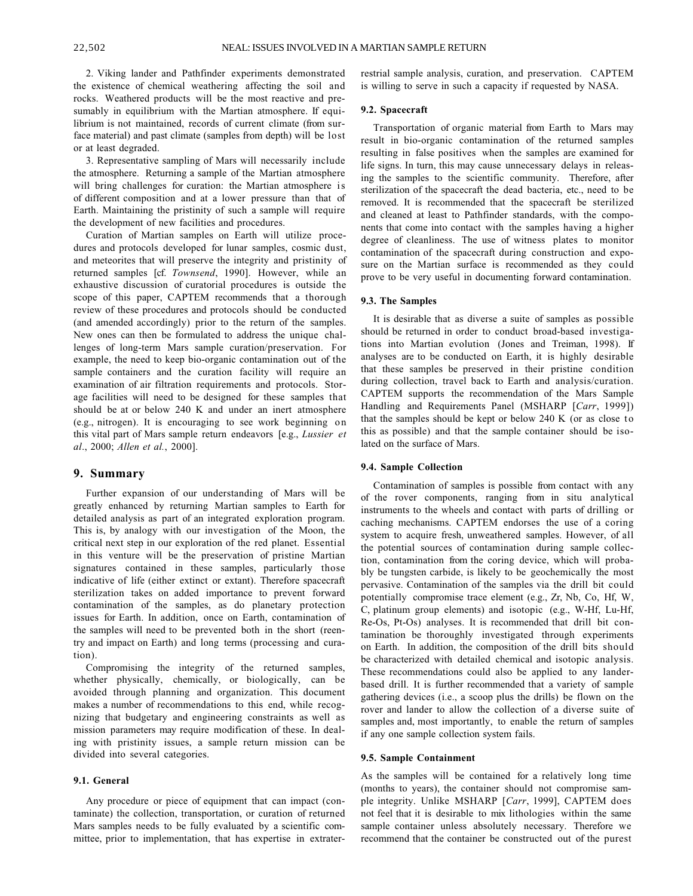2. Viking lander and Pathfinder experiments demonstrated the existence of chemical weathering affecting the soil and rocks. Weathered products will be the most reactive and presumably in equilibrium with the Martian atmosphere. If equilibrium is not maintained, records of current climate (from surface material) and past climate (samples from depth) will be lost or at least degraded.

3. Representative sampling of Mars will necessarily include the atmosphere. Returning a sample of the Martian atmosphere will bring challenges for curation: the Martian atmosphere is of different composition and at a lower pressure than that of Earth. Maintaining the pristinity of such a sample will require the development of new facilities and procedures.

Curation of Martian samples on Earth will utilize procedures and protocols developed for lunar samples, cosmic dust, and meteorites that will preserve the integrity and pristinity of returned samples [cf. *Townsend*, 1990]. However, while an exhaustive discussion of curatorial procedures is outside the scope of this paper, CAPTEM recommends that a thorough review of these procedures and protocols should be conducted (and amended accordingly) prior to the return of the samples. New ones can then be formulated to address the unique challenges of long-term Mars sample curation/preservation. For example, the need to keep bio-organic contamination out of the sample containers and the curation facility will require an examination of air filtration requirements and protocols. Storage facilities will need to be designed for these samples that should be at or below 240 K and under an inert atmosphere (e.g., nitrogen). It is encouraging to see work beginning on this vital part of Mars sample return endeavors [e.g., *Lussier et al*., 2000; *Allen et al.*, 2000].

### **9. Summary**

Further expansion of our understanding of Mars will be greatly enhanced by returning Martian samples to Earth for detailed analysis as part of an integrated exploration program. This is, by analogy with our investigation of the Moon, the critical next step in our exploration of the red planet. Essential in this venture will be the preservation of pristine Martian signatures contained in these samples, particularly those indicative of life (either extinct or extant). Therefore spacecraft sterilization takes on added importance to prevent forward contamination of the samples, as do planetary protection issues for Earth. In addition, once on Earth, contamination of the samples will need to be prevented both in the short (reentry and impact on Earth) and long terms (processing and curation).

Compromising the integrity of the returned samples, whether physically, chemically, or biologically, can be avoided through planning and organization. This document makes a number of recommendations to this end, while recognizing that budgetary and engineering constraints as well as mission parameters may require modification of these. In dealing with pristinity issues, a sample return mission can be divided into several categories.

#### **9.1. General**

Any procedure or piece of equipment that can impact (contaminate) the collection, transportation, or curation of returned Mars samples needs to be fully evaluated by a scientific committee, prior to implementation, that has expertise in extraterrestrial sample analysis, curation, and preservation. CAPTEM is willing to serve in such a capacity if requested by NASA.

#### **9.2. Spacecraft**

Transportation of organic material from Earth to Mars may result in bio-organic contamination of the returned samples resulting in false positives when the samples are examined for life signs. In turn, this may cause unnecessary delays in releasing the samples to the scientific community. Therefore, after sterilization of the spacecraft the dead bacteria, etc., need to be removed. It is recommended that the spacecraft be sterilized and cleaned at least to Pathfinder standards, with the components that come into contact with the samples having a higher degree of cleanliness. The use of witness plates to monitor contamination of the spacecraft during construction and exposure on the Martian surface is recommended as they could prove to be very useful in documenting forward contamination.

#### **9.3. The Samples**

It is desirable that as diverse a suite of samples as possible should be returned in order to conduct broad-based investigations into Martian evolution (Jones and Treiman, 1998). If analyses are to be conducted on Earth, it is highly desirable that these samples be preserved in their pristine condition during collection, travel back to Earth and analysis/curation. CAPTEM supports the recommendation of the Mars Sample Handling and Requirements Panel (MSHARP [*Carr*, 1999]) that the samples should be kept or below 240 K (or as close to this as possible) and that the sample container should be isolated on the surface of Mars.

#### **9.4. Sample Collection**

Contamination of samples is possible from contact with any of the rover components, ranging from in situ analytical instruments to the wheels and contact with parts of drilling or caching mechanisms. CAPTEM endorses the use of a coring system to acquire fresh, unweathered samples. However, of all the potential sources of contamination during sample collection, contamination from the coring device, which will probably be tungsten carbide, is likely to be geochemically the most pervasive. Contamination of the samples via the drill bit could potentially compromise trace element (e.g., Zr, Nb, Co, Hf, W, C, platinum group elements) and isotopic (e.g., W-Hf, Lu-Hf, Re-Os, Pt-Os) analyses. It is recommended that drill bit contamination be thoroughly investigated through experiments on Earth. In addition, the composition of the drill bits should be characterized with detailed chemical and isotopic analysis. These recommendations could also be applied to any landerbased drill. It is further recommended that a variety of sample gathering devices (i.e., a scoop plus the drills) be flown on the rover and lander to allow the collection of a diverse suite of samples and, most importantly, to enable the return of samples if any one sample collection system fails.

#### **9.5. Sample Containment**

As the samples will be contained for a relatively long time (months to years), the container should not compromise sample integrity. Unlike MSHARP [*Carr*, 1999], CAPTEM does not feel that it is desirable to mix lithologies within the same sample container unless absolutely necessary. Therefore we recommend that the container be constructed out of the purest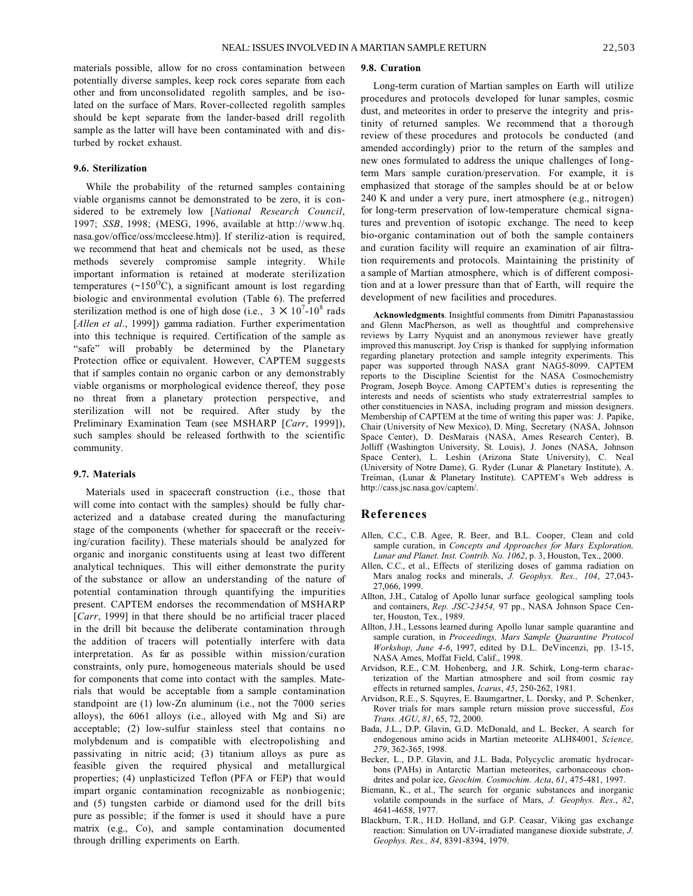materials possible, allow for no cross contamination between potentially diverse samples, keep rock cores separate from each other and from unconsolidated regolith samples, and be isolated on the surface of Mars. Rover-collected regolith samples should be kept separate from the lander-based drill regolith sample as the latter will have been contaminated with and disturbed by rocket exhaust.

#### **9.6. Sterilization**

While the probability of the returned samples containing viable organisms cannot be demonstrated to be zero, it is considered to be extremely low [*National Research Council*, 1997; *SSB*, 1998; (MESG, 1996, available at http://www.hq. nasa.gov/office/oss/mccleese.htm)]. If steriliz-ation is required, we recommend that heat and chemicals not be used, as these methods severely compromise sample integrity. While important information is retained at moderate sterilization temperatures ( $\sim$ 150<sup>o</sup>C), a significant amount is lost regarding biologic and environmental evolution (Table 6). The preferred sterilization method is one of high dose (i.e.,  $3 \times 10^{7}$ -10<sup>8</sup> rads [*Allen et al*., 1999]) gamma radiation. Further experimentation into this technique is required. Certification of the sample as "safe" will probably be determined by the Planetary Protection office or equivalent. However, CAPTEM suggests that if samples contain no organic carbon or any demonstrably viable organisms or morphological evidence thereof, they pose no threat from a planetary protection perspective, and sterilization will not be required. After study by the Preliminary Examination Team (see MSHARP [*Carr*, 1999]), such samples should be released forthwith to the scientific community.

#### **9.7. Materials**

Materials used in spacecraft construction (i.e., those that will come into contact with the samples) should be fully characterized and a database created during the manufacturing stage of the components (whether for spacecraft or the receiving/curation facility). These materials should be analyzed for organic and inorganic constituents using at least two different analytical techniques. This will either demonstrate the purity of the substance or allow an understanding of the nature of potential contamination through quantifying the impurities present. CAPTEM endorses the recommendation of MSHARP [*Carr*, 1999] in that there should be no artificial tracer placed in the drill bit because the deliberate contamination through the addition of tracers will potentially interfere with data interpretation. As far as possible within mission/curation constraints, only pure, homogeneous materials should be used for components that come into contact with the samples. Materials that would be acceptable from a sample contamination standpoint are (1) low-Zn aluminum (i.e., not the 7000 series alloys), the 6061 alloys (i.e., alloyed with Mg and Si) are acceptable; (2) low-sulfur stainless steel that contains no molybdenum and is compatible with electropolishing and passivating in nitric acid; (3) titanium alloys as pure as feasible given the required physical and metallurgical properties; (4) unplasticized Teflon (PFA or FEP) that would impart organic contamination recognizable as nonbiogenic; and (5) tungsten carbide or diamond used for the drill bits pure as possible; if the former is used it should have a pure matrix (e.g., Co), and sample contamination documented through drilling experiments on Earth.

#### **9.8. Curation**

Long-term curation of Martian samples on Earth will utilize procedures and protocols developed for lunar samples, cosmic dust, and meteorites in order to preserve the integrity and pristinity of returned samples. We recommend that a thorough review of these procedures and protocols be conducted (and amended accordingly) prior to the return of the samples and new ones formulated to address the unique challenges of longterm Mars sample curation/preservation. For example, it is emphasized that storage of the samples should be at or below 240 K and under a very pure, inert atmosphere (e.g., nitrogen) for long-term preservation of low-temperature chemical signatures and prevention of isotopic exchange. The need to keep bio-organic contamination out of both the sample containers and curation facility will require an examination of air filtration requirements and protocols. Maintaining the pristinity of a sample of Martian atmosphere, which is of different composition and at a lower pressure than that of Earth, will require the development of new facilities and procedures.

**Acknowledgments**. Insightful comments from Dimitri Papanastassiou and Glenn MacPherson, as well as thoughtful and comprehensive reviews by Larry Nyquist and an anonymous reviewer have greatly improved this manuscript. Joy Crisp is thanked for supplying information regarding planetary protection and sample integrity experiments. This paper was supported through NASA grant NAG5-8099. CAPTEM reports to the Discipline Scientist for the NASA Cosmochemistry Program, Joseph Boyce. Among CAPTEM's duties is representing the interests and needs of scientists who study extraterrestrial samples to other constituencies in NASA, including program and mission designers. Membership of CAPTEM at the time of writing this paper was: J. Papike, Chair (University of New Mexico), D. Ming, Secretary (NASA, Johnson Space Center), D. DesMarais (NASA, Ames Research Center), B. Jolliff (Washington University, St. Louis), J. Jones (NASA, Johnson Space Center), L. Leshin (Arizona State University), C. Neal (University of Notre Dame), G. Ryder (Lunar & Planetary Institute), A. Treiman, (Lunar & Planetary Institute). CAPTEM's Web address is http://cass.jsc.nasa.gov/captem/.

### **References**

- Allen, C.C., C.B. Agee, R. Beer, and B.L. Cooper, Clean and cold sample curation, in *Concepts and Approaches for Mars Exploration, Lunar and Planet. Inst. Contrib. No. 1062*, p. 3, Houston, Tex., 2000.
- Allen, C.C., et al., Effects of sterilizing doses of gamma radiation on Mars analog rocks and minerals, *J. Geophys. Res., 104*, 27,043- 27,066, 1999.
- Allton, J.H., Catalog of Apollo lunar surface geological sampling tools and containers, *Rep. JSC-23454,* 97 pp., NASA Johnson Space Center, Houston, Tex., 1989.
- Allton, J.H., Lessons learned during Apollo lunar sample quarantine and sample curation, in *Proceedings, Mars Sample Quarantine Protocol Workshop, June 4-6*, 1997, edited by D.L. DeVincenzi, pp. 13-15, NASA Ames, Moffat Field, Calif., 1998.
- Arvidson, R.E., C.M. Hohenberg, and J.R. Schirk, Long-term characterization of the Martian atmosphere and soil from cosmic ray effects in returned samples, *Icarus*, *45*, 250-262, 1981.
- Arvidson, R.E., S. Squyres, E. Baumgartner, L. Dorsky, and P. Schenker, Rover trials for mars sample return mission prove successful, *Eos Trans. AGU*, *81*, 65, 72, 2000.
- Bada, J.L., D.P. Glavin, G.D. McDonald, and L. Becker, A search for endogenous amino acids in Martian meteorite ALH84001, *Science, 279*, 362-365, 1998.
- Becker, L., D.P. Glavin, and J.L. Bada, Polycyclic aromatic hydrocarbons (PAHs) in Antarctic Martian meteorites, carbonaceous chondrites and polar ice, *Geochim. Cosmochim. Acta*, *61*, 475-481, 1997.
- Biemann, K., et al., The search for organic substances and inorganic volatile compounds in the surface of Mars, *J. Geophys. Res*., *82*, 4641-4658, 1977.
- Blackburn, T.R., H.D. Holland, and G.P. Ceasar, Viking gas exchange reaction: Simulation on UV-irradiated manganese dioxide substrate, *J. Geophys. Res., 84*, 8391-8394, 1979.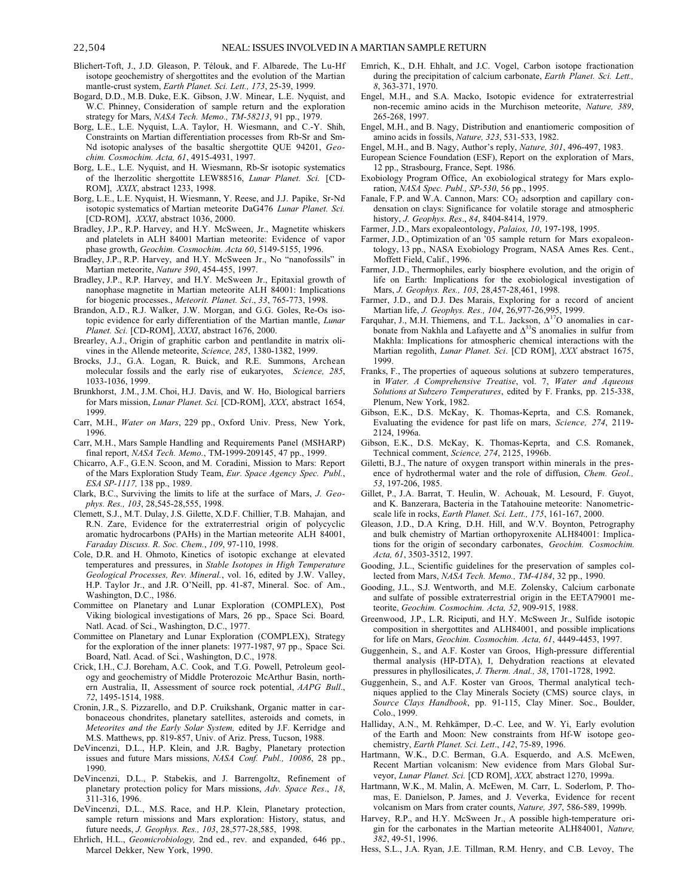- Blichert-Toft, J., J.D. Gleason, P. Télouk, and F. Albarede, The Lu-Hf isotope geochemistry of shergottites and the evolution of the Martian mantle-crust system, *Earth Planet. Sci. Lett., 173*, 25-39, 1999.
- Bogard, D.D., M.B. Duke, E.K. Gibson, J.W. Minear, L.E. Nyquist, and W.C. Phinney, Consideration of sample return and the exploration strategy for Mars, *NASA Tech. Memo., TM-58213*, 91 pp., 1979.
- Borg, L.E., L.E. Nyquist, L.A. Taylor, H. Wiesmann, and C.-Y. Shih, Constraints on Martian differentiation processes from Rb-Sr and Sm-Nd isotopic analyses of the basaltic shergottite QUE 94201, *Geochim. Cosmochim. Acta, 61*, 4915-4931, 1997.
- Borg, L.E., L.E. Nyquist, and H. Wiesmann, Rb-Sr isotopic systematics of the lherzolitic shergottite LEW88516, *Lunar Planet. Sci.* [CD-ROM], *XXIX*, abstract 1233, 1998.
- Borg, L.E., L.E. Nyquist, H. Wiesmann, Y. Reese, and J.J. Papike, Sr-Nd isotopic systematics of Martian meteorite DaG476 *Lunar Planet. Sci.* [CD-ROM], *XXXI*, abstract 1036, 2000.
- Bradley, J.P., R.P. Harvey, and H.Y. McSween, Jr., Magnetite whiskers and platelets in ALH 84001 Martian meteorite: Evidence of vapor phase growth, *Geochim. Cosmochim. Acta 60*, 5149-5155, 1996.
- Bradley, J.P., R.P. Harvey, and H.Y. McSween Jr., No "nanofossils" in Martian meteorite, *Nature 390*, 454-455, 1997.
- Bradley, J.P., R.P. Harvey, and H.Y. McSween Jr., Epitaxial growth of nanophase magnetite in Martian meteorite ALH 84001: Implications for biogenic processes., *Meteorit. Planet. Sci*., *33*, 765-773, 1998.
- Brandon, A.D., R.J. Walker, J.W. Morgan, and G.G. Goles, Re-Os isotopic evidence for early differentiation of the Martian mantle, *Lunar Planet. Sci.* [CD-ROM], *XXXI*, abstract 1676, 2000.
- Brearley, A.J., Origin of graphitic carbon and pentlandite in matrix olivines in the Allende meteorite, *Science, 285*, 1380-1382, 1999.
- Brocks, J.J., G.A. Logan, R. Buick, and R.E. Summons, Archean molecular fossils and the early rise of eukaryotes, *Science, 285*, 1033-1036, 1999.
- Brunkhorst, J.M., J.M. Choi, H.J. Davis, and W. Ho, Biological barriers for Mars mission, *Lunar Planet. Sci.* [CD-ROM], *XXX*, abstract 1654, 1999.
- Carr, M.H., *Water on Mars*, 229 pp., Oxford Univ. Press, New York, 1996.
- Carr, M.H., Mars Sample Handling and Requirements Panel (MSHARP) final report, *NASA Tech. Memo.*, TM-1999-209145, 47 pp., 1999.
- Chicarro, A.F., G.E.N. Scoon, and M. Coradini, Mission to Mars: Report of the Mars Exploration Study Team, *Eur. Space Agency Spec. Publ.*, *ESA SP-1117,* 138 pp., 1989.
- Clark, B.C., Surviving the limits to life at the surface of Mars, *J. Geophys. Res., 103*, 28,545-28,555, 1998.
- Clemett, S.J., M.T. Dulay, J.S. Gilette, X.D.F. Chillier, T.B. Mahajan, and R.N. Zare, Evidence for the extraterrestrial origin of polycyclic aromatic hydrocarbons (PAHs) in the Martian meteorite ALH 84001, *Faraday Discuss. R. Soc. Chem.*, *109*, 97-110, 1998.
- Cole, D.R. and H. Ohmoto, Kinetics of isotopic exchange at elevated temperatures and pressures, in *Stable Isotopes in High Temperature Geological Processes, Rev. Mineral.*, vol. 16, edited by J.W. Valley, H.P. Taylor Jr., and J.R. O'Neill, pp. 41-87, Mineral. Soc. of Am., Washington, D.C., 1986.
- Committee on Planetary and Lunar Exploration (COMPLEX), Post Viking biological investigations of Mars, 26 pp., Space Sci. Board*,* Natl. Acad. of Sci., Washington, D.C., 1977.
- Committee on Planetary and Lunar Exploration (COMPLEX), Strategy for the exploration of the inner planets: 1977-1987, 97 pp., Space Sci. Board, Natl. Acad. of Sci*.*, Washington, D.C., 1978.
- Crick, I.H., C.J. Boreham, A.C. Cook, and T.G. Powell, Petroleum geology and geochemistry of Middle Proterozoic McArthur Basin, northern Australia, II, Assessment of source rock potential, *AAPG Bull*., *72*, 1495-1514, 1988.
- Cronin, J.R., S. Pizzarello, and D.P. Cruikshank, Organic matter in carbonaceous chondrites, planetary satellites, asteroids and comets, in *Meteorites and the Early Solar System,* edited by J.F. Kerridge and M.S. Matthews, pp. 819-857, Univ. of Ariz. Press, Tucson, 1988.
- DeVincenzi, D.L., H.P. Klein, and J.R. Bagby, Planetary protection issues and future Mars missions, *NASA Conf. Publ., 10086*, 28 pp., 1990.
- DeVincenzi, D.L., P. Stabekis, and J. Barrengoltz, Refinement of planetary protection policy for Mars missions, *Adv. Space Res*., *18*, 311-316, 1996.
- DeVincenzi, D.L., M.S. Race, and H.P. Klein, Planetary protection, sample return missions and Mars exploration: History, status, and future needs, *J. Geophys. Res., 103*, 28,577-28,585, 1998.
- Ehrlich, H.L., *Geomicrobiology,* 2nd ed., rev. and expanded, 646 pp., Marcel Dekker, New York, 1990.
- Emrich, K., D.H. Ehhalt, and J.C. Vogel, Carbon isotope fractionation during the precipitation of calcium carbonate, *Earth Planet. Sci. Lett., 8*, 363-371, 1970.
- Engel, M.H., and S.A. Macko, Isotopic evidence for extraterrestrial non-recemic amino acids in the Murchison meteorite, *Nature, 389*, 265-268, 1997.
- Engel, M.H., and B. Nagy, Distribution and enantiomeric composition of amino acids in fossils, *Nature, 323*, 531-533, 1982.
- Engel, M.H., and B. Nagy, Author's reply, *Nature, 301*, 496-497, 1983.
- European Science Foundation (ESF), Report on the exploration of Mars, 12 pp., Strasbourg, France, Sept. 1986*.*
- Exobiology Program Office, An exobiological strategy for Mars exploration, *NASA Spec. Publ., SP-530*, 56 pp., 1995.
- Fanale, F.P. and W.A. Cannon, Mars: CO<sub>2</sub> adsorption and capillary condensation on clays: Significance for volatile storage and atmospheric history, *J. Geophys. Res*., *84*, 8404-8414, 1979.
- Farmer, J.D., Mars exopaleontology, *Palaios, 10*, 197-198, 1995.
- Farmer, J.D., Optimization of an '05 sample return for Mars exopaleontology, 13 pp., NASA Exobiology Program, NASA Ames Res. Cent., Moffett Field, Calif., 1996.
- Farmer, J.D., Thermophiles, early biosphere evolution, and the origin of life on Earth: Implications for the exobiological investigation of Mars, *J. Geophys. Res., 103*, 28,457-28,461, 1998.
- Farmer, J.D., and D.J. Des Marais, Exploring for a record of ancient Martian life, *J. Geophys. Res., 104*, 26,977-26,995, 1999.
- Farquhar, J., M.H. Thiemens, and T.L. Jackson,  $\Delta^{17}O$  anomalies in carbonate from Nakhla and Lafayette and  $\Delta^{33}$ S anomalies in sulfur from Makhla: Implications for atmospheric chemical interactions with the Martian regolith, *Lunar Planet. Sci*. [CD ROM], *XXX* abstract 1675, 1999.
- Franks, F., The properties of aqueous solutions at subzero temperatures, in *Water. A Comprehensive Treatise*, vol. 7, *Water and Aqueous Solutions at Subzero Temperatures*, edited by F. Franks, pp. 215-338, Plenum, New York, 1982.
- Gibson, E.K., D.S. McKay, K. Thomas-Keprta, and C.S. Romanek, Evaluating the evidence for past life on mars, *Science, 274*, 2119- 2124, 1996a.
- Gibson, E.K., D.S. McKay, K. Thomas-Keprta, and C.S. Romanek, Technical comment, *Science, 274*, 2125, 1996b.
- Giletti, B.J., The nature of oxygen transport within minerals in the presence of hydrothermal water and the role of diffusion, *Chem. Geol., 53*, 197-206, 1985.
- Gillet, P., J.A. Barrat, T. Heulin, W. Achouak, M. Lesourd, F. Guyot, and K. Banzerara, Bacteria in the Tatahouine meteorite: Nanometricscale life in rocks, *Earth Planet. Sci. Lett., 175*, 161-167, 2000.
- Gleason, J.D., D.A Kring, D.H. Hill, and W.V. Boynton, Petrography and bulk chemistry of Martian orthopyroxenite ALH84001: Implications for the origin of secondary carbonates, *Geochim. Cosmochim. Acta, 61*, 3503-3512, 1997.
- Gooding, J.L., Scientific guidelines for the preservation of samples collected from Mars, *NASA Tech. Memo., TM-4184*, 32 pp., 1990.
- Gooding, J.L., S.J. Wentworth, and M.E. Zolensky, Calcium carbonate and sulfate of possible extraterrestrial origin in the EETA79001 meteorite, *Geochim. Cosmochim. Acta, 52*, 909-915, 1988.
- Greenwood, J.P., L.R. Riciputi, and H.Y. McSween Jr., Sulfide isotopic composition in shergottites and ALH84001, and possible implications for life on Mars, *Geochim. Cosmochim. Acta, 61*, 4449-4453, 1997.
- Guggenhein, S., and A.F. Koster van Groos, High-pressure differential thermal analysis (HP-DTA), I, Dehydration reactions at elevated pressures in phyllosilicates, *J. Therm. Anal., 38*, 1701-1728, 1992.
- Guggenhein, S., and A.F. Koster van Groos, Thermal analytical techniques applied to the Clay Minerals Society (CMS) source clays, in *Source Clays Handbook*, pp. 91-115, Clay Miner. Soc., Boulder, Colo., 1999.
- Halliday, A.N., M. Rehkämper, D.-C. Lee, and W. Yi, Early evolution of the Earth and Moon: New constraints from Hf-W isotope geochemistry, *Earth Planet. Sci. Lett*., *142*, 75-89, 1996.
- Hartmann, W.K., D.C. Berman, G.A. Esquerdo, and A.S. McEwen, Recent Martian volcanism: New evidence from Mars Global Surveyor, *Lunar Planet. Sci.* [CD ROM], *XXX,* abstract 1270, 1999a.
- Hartmann, W.K., M. Malin, A. McEwen, M. Carr, L. Soderlom, P. Thomas, E. Danielson, P. James, and J. Veverka, Evidence for recent volcanism on Mars from crater counts, *Nature, 397*, 586-589, 1999b.
- Harvey, R.P., and H.Y. McSween Jr., A possible high-temperature origin for the carbonates in the Martian meteorite ALH84001, *Nature, 382*, 49-51, 1996.
- Hess, S.L., J.A. Ryan, J.E. Tillman, R.M. Henry, and C.B. Levoy, The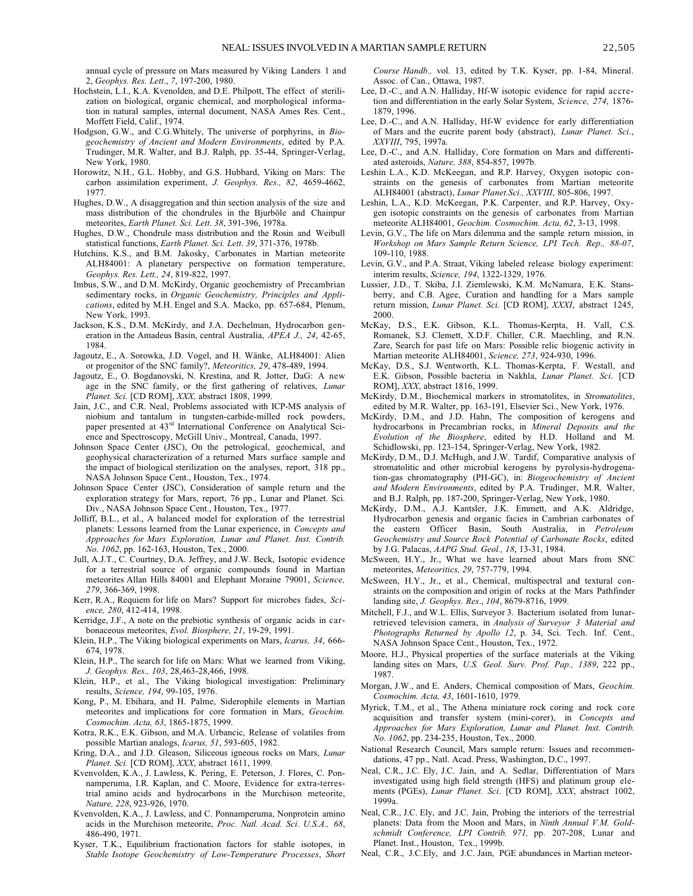annual cycle of pressure on Mars measured by Viking Landers 1 and 2, *Geophys. Res. Lett*., *7*, 197-200, 1980.

- Hochstein, L.I., K.A. Kvenolden, and D.E. Philpott, The effect of sterilization on biological, organic chemical, and morphological information in natural samples, internal document, NASA Ames Res. Cent., Moffett Field, Calif., 1974.
- Hodgson, G.W., and C.G.Whitely, The universe of porphyrins, in *Biogeochemistry of Ancient and Modern Environments*, edited by P.A. Trudinger, M.R. Walter, and B.J. Ralph, pp. 35-44, Springer-Verlag, New York, 1980.
- Horowitz, N.H., G.L. Hobby, and G.S. Hubbard, Viking on Mars: The carbon assimilation experiment, *J. Geophys. Res., 82*, 4659-4662, 1977.
- Hughes, D.W., A disaggregation and thin section analysis of the size and mass distribution of the chondrules in the Bjurböle and Chainpur meteorites, *Earth Planet. Sci. Lett*. *38*, 391-396, 1978a.
- Hughes, D.W., Chondrule mass distribution and the Rosin and Weibull statistical functions, *Earth Planet. Sci. Lett*. *39*, 371-376, 1978b.
- Hutchins, K.S., and B.M. Jakosky, Carbonates in Martian meteorite ALH84001: A planetary perspective on formation temperature, *Geophys. Res. Lett., 24*, 819-822, 1997.
- Imbus, S.W., and D.M. McKirdy, Organic geochemistry of Precambrian sedimentary rocks, in *Organic Geochemistry, Principles and Applications*, edited by M.H. Engel and S.A. Macko, pp. 657-684, Plenum, New York, 1993.
- Jackson, K.S., D.M. McKirdy, and J.A. Dechelman, Hydrocarbon generation in the Amadeus Basin, central Australia, *APEA J., 24*, 42-65, 1984.
- Jagoutz, E., A. Sorowka, J.D. Vogel, and H. Wänke, ALH84001: Alien or progenitor of the SNC family?, *Meteoritics, 29*, 478-489, 1994.
- Jagoutz, E., O. Bogdanovski, N. Krestina, and R. Jotter, DaG: A new age in the SNC family, or the first gathering of relatives, *Lunar Planet. Sci.* [CD ROM], *XXX,* abstract 1808, 1999.
- Jain, J.C., and C.R. Neal, Problems associated with ICP-MS analysis of niobium and tantalum in tungsten-carbide-milled rock powders, paper presented at 43<sup>rd</sup> International Conference on Analytical Science and Spectroscopy, McGill Univ., Montreal, Canada, 1997.
- Johnson Space Center (JSC), On the petrological, geochemical, and geophysical characterization of a returned Mars surface sample and the impact of biological sterilization on the analyses, report, 318 pp., NASA Johnson Space Cent., Houston, Tex., 1974.
- Johnson Space Center (JSC), Consideration of sample return and the exploration strategy for Mars, report, 76 pp., Lunar and Planet. Sci. Div., NASA Johnson Space Cent., Houston, Tex., 1977.
- Jolliff, B.L., et al., A balanced model for exploration of the terrestrial planets: Lessons learned from the Lunar experience, in *Concepts and Approaches for Mars Exploration, Lunar and Planet. Inst. Contrib. No. 1062*, pp. 162-163, Houston, Tex., 2000.
- Jull, A.J.T., C. Courtney, D.A. Jeffrey, and J.W. Beck, Isotopic evidence for a terrestrial source of organic compounds found in Martian meteorites Allan Hills 84001 and Elephant Moraine 79001, *Science, 279*, 366-369, 1998.
- Kerr, R.A., Requiem for life on Mars? Support for microbes fades, *Science, 280*, 412-414, 1998.
- Kerridge, J.F., A note on the prebiotic synthesis of organic acids in carbonaceous meteorites, *Evol. Biosphere, 21*, 19-29, 1991.
- Klein, H.P., The Viking biological experiments on Mars, *Icarus, 34*, 666- 674, 1978.
- Klein, H.P., The search for life on Mars: What we learned from Viking, *J. Geophys. Res., 103*, 28,463-28,466, 1998.
- Klein, H.P., et al., The Viking biological investigation: Preliminary results, *Science, 194*, 99-105, 1976.
- Kong, P., M. Ebihara, and H. Palme, Siderophile elements in Martian meteorites and implications for core formation in Mars, *Geochim. Cosmochim. Acta, 63*, 1865-1875, 1999.
- Kotra, R.K., E.K. Gibson, and M.A. Urbancic, Release of volatiles from possible Martian analogs, *Icarus, 51*, 593-605, 1982.
- Kring, D.A., and J.D. Gleason, Siliceous igneous rocks on Mars, *Lunar Planet. Sci.* [CD ROM], *XXX*, abstract 1611, 1999.
- Kvenvolden, K.A., J. Lawless, K. Pering, E. Peterson, J. Flores, C. Ponnamperuma, I.R. Kaplan, and C. Moore, Evidence for extra-terrestrial amino acids and hydrocarbons in the Murchison meteorite, *Nature, 228*, 923-926, 1970.
- Kvenvolden, K.A., J. Lawless, and C. Ponnamperuma, Nonprotein amino acids in the Murchison meteorite, *Proc. Natl. Acad. Sci. U.S.A., 68*, 486-490, 1971.
- Kyser, T.K., Equilibrium fractionation factors for stable isotopes, in *Stable Isotope Geochemistry of Low-Temperature Processes*, *Short*

*Course Handb.,* vol. 13, edited by T.K. Kyser, pp. 1-84, Mineral. Assoc. of Can., Ottawa, 1987.

- Lee, D.-C., and A.N. Halliday, Hf-W isotopic evidence for rapid accretion and differentiation in the early Solar System, *Science, 274*, 1876- 1879, 1996.
- Lee, D.-C., and A.N. Halliday, Hf-W evidence for early differentiation of Mars and the eucrite parent body (abstract), *Lunar Planet. Sci*., *XXVIII*, 795, 1997a.
- Lee, D.-C., and A.N. Halliday, Core formation on Mars and differentiated asteroids, *Nature, 388*, 854-857, 1997b.
- Leshin L.A., K.D. McKeegan, and R.P. Harvey, Oxygen isotopic constraints on the genesis of carbonates from Martian meteorite ALH84001 (abstract), *Lunar Planet.Sci., XXVIII*, 805-806, 1997.
- Leshin, L.A., K.D. McKeegan, P.K. Carpenter, and R.P. Harvey, Oxygen isotopic constraints on the genesis of carbonates from Martian meteorite ALH84001, *Geochim. Cosmochim. Acta, 62*, 3-13, 1998.
- Levin, G.V., The life on Mars dilemma and the sample return mission, in *Workshop on Mars Sample Return Science, LPI Tech. Rep., 88-07*, 109-110, 1988.
- Levin, G.V., and P.A. Straat, Viking labeled release biology experiment: interim results, *Science, 194*, 1322-1329, 1976.
- Lussier, J.D., T. Skiba, J.I. Ziemlewski, K.M. McNamara, E.K. Stansberry, and C.B. Agee, Curation and handling for a Mars sample return mission, *Lunar Planet. Sci.* [CD ROM], *XXXI*, abstract 1245, 2000.
- McKay, D.S., E.K. Gibson, K.L. Thomas-Kerpta, H. Vall, C.S. Romanek, S.J. Clemett, X.D.F. Chiller, C.R. Maechling, and R.N. Zare, Search for past life on Mars: Possible relic biogenic activity in Martian meteorite ALH84001, *Science, 273*, 924-930, 1996.
- McKay, D.S., S.J. Wentworth, K.L. Thomas-Kerpta, F. Westall, and E.K. Gibson, Possible bacteria in Nakhla, *Lunar Planet. Sci*. [CD ROM], *XXX*, abstract 1816, 1999.
- McKirdy, D.M., Biochemical markers in stromatolites, in *Stromatolites*, edited by M.R. Walter, pp. 163-191, Elsevier Sci., New York, 1976.
- McKirdy, D.M., and J.D. Hahn, The composition of kerogens and hydrocarbons in Precambrian rocks, in *Mineral Deposits and the Evolution of the Biosphere*, edited by H.D. Holland and M. Schidlowski, pp. 123-154, Springer-Verlag, New York, 1982.
- McKirdy, D.M., D.J. McHugh, and J.W. Tardif, Comparative analysis of stromatolitic and other microbial kerogens by pyrolysis-hydrogenation-gas chromatography (PH-GC), in: *Biogeochemistry of Ancient and Modern Environments*, edited by P.A. Trudinger, M.R. Walter, and B.J. Ralph, pp. 187-200, Springer-Verlag, New York, 1980.
- McKirdy, D.M., A.J. Kantsler, J.K. Emmett, and A.K. Aldridge, Hydrocarbon genesis and organic facies in Cambrian carbonates of the eastern Officer Basin, South Australia, in *Petroleum Geochemistry and Source Rock Potential of Carbonate Rocks*, edited by J.G. Palacas, *AAPG Stud. Geol., 18*, 13-31, 1984.
- McSween, H.Y., Jr., What we have learned about Mars from SNC meteorites, *Meteoritics, 29*, 757-779, 1994.
- McSween, H.Y., Jr., et al., Chemical, multispectral and textural constraints on the composition and origin of rocks at the Mars Pathfinder landing site, *J. Geophys. Res*., *104*, 8679-8716, 1999.
- Mitchell, F.J., and W.L. Ellis, Surveyor 3. Bacterium isolated from lunarretrieved television camera, in *Analysis of Surveyor 3 Material and Photographs Returned by Apollo 12*, p. 34, Sci. Tech. Inf. Cent., NASA Johnson Space Cent., Houston, Tex., 1972.
- Moore, H.J., Physical properties of the surface materials at the Viking landing sites on Mars, *U.S. Geol. Surv. Prof. Pap., 1389*, 222 pp., 1987.
- Morgan, J.W., and E. Anders, Chemical composition of Mars, *Geochim. Cosmochim. Acta, 43*, 1601-1610, 1979.
- Myrick, T.M., et al., The Athena miniature rock coring and rock core acquisition and transfer system (mini-corer), in *Concepts and Approaches for Mars Exploration, Lunar and Planet. Inst. Contrib. No. 1062*, pp. 234-235, Houston, Tex., 2000.
- National Research Council, Mars sample return: Issues and recommendations, 47 pp., Natl. Acad. Press, Washington, D.C., 1997.
- Neal, C.R., J.C. Ely, J.C. Jain, and A. Sedlar, Differentiation of Mars investigated using high field strength (HFS) and platinum group elements (PGEs), *Lunar Planet. Sci*. [CD ROM], *XXX*, abstract 1002, 1999a.
- Neal, C.R., J.C. Ely, and J.C. Jain, Probing the interiors of the terrestrial planets: Data from the Moon and Mars, in *Ninth Annual V.M. Goldschmidt Conference, LPI Contrib. 971,* pp. 207-208, Lunar and Planet. Inst., Houston, Tex., 1999b.
- Neal, C.R., J.C.Ely, and J.C. Jain, PGE abundances in Martian meteor-